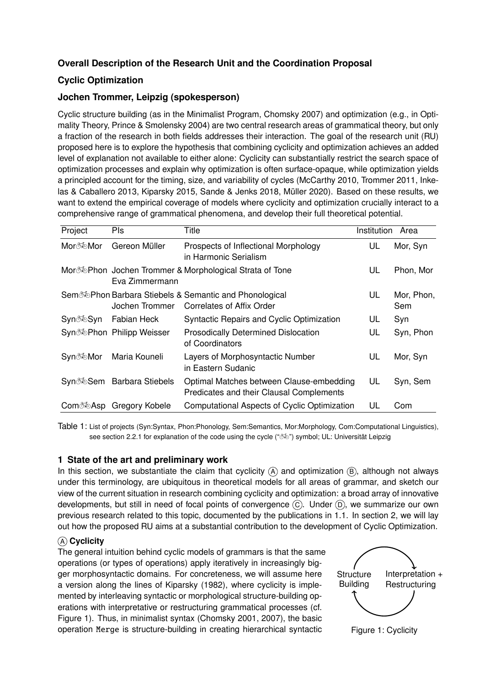# **Overall Description of the Research Unit and the Coordination Proposal**

# **Cyclic Optimization**

## **Jochen Trommer, Leipzig (spokesperson)**

Cyclic structure building (as in the Minimalist Program, [Chomsky](#page-13-0) [2007](#page-13-0)) and optimization (e.g., in Optimality Theory, Prince & [Smolensky](#page-17-0) [2004](#page-17-0)) are two central research areas of grammatical theory, but only a fraction of the research in both fields addresses their interaction. The goal of the research unit (RU) proposed here is to explore the hypothesis that combining cyclicity and optimization achieves an added level of explanation not available to either alone: Cyclicity can substantially restrict the search space of optimization processes and explain why optimization is often surface-opaque, while optimization yields a principled account for the timing, size, and variability of cycles [\(](#page-15-0)[McCarthy](#page-16-0) [2010,](#page-16-0) [Trommer](#page-18-0) [2011](#page-18-0), Inkelas & Caballero [2013,](#page-15-0) [Kiparsky](#page-15-1) [2015,](#page-15-1) [Sande](#page-17-1) & Jenks [2018](#page-17-1), [Müller](#page-16-1) [2020\)](#page-16-1). Based on these results, we want to extend the empirical coverage of models where cyclicity and optimization crucially interact to a comprehensive range of grammatical phenomena, and develop their full theoretical potential.

| Project | Pls                       | Title                                                                                           | Institution | Area              |
|---------|---------------------------|-------------------------------------------------------------------------------------------------|-------------|-------------------|
| Mor‱Mor | Gereon Müller             | Prospects of Inflectional Morphology<br>in Harmonic Serialism                                   | UL          | Mor, Syn          |
|         | Eva Zimmermann            | Mor <b>D</b> ephon Jochen Trommer & Morphological Strata of Tone                                | UL          | Phon, Mor         |
|         | Jochen Trommer            | Sem <sup>3</sup> Phon Barbara Stiebels & Semantic and Phonological<br>Correlates of Affix Order | UL          | Mor, Phon,<br>Sem |
| Syn‱Syn | Fabian Heck               | Syntactic Repairs and Cyclic Optimization                                                       | UL          | Syn               |
|         | Syn% Phon Philipp Weisser | <b>Prosodically Determined Dislocation</b><br>of Coordinators                                   | UL          | Syn, Phon         |
| Syn‱Mor | Maria Kouneli             | Layers of Morphosyntactic Number<br>in Eastern Sudanic                                          | UL          | Mor, Syn          |
|         | Syn%Sem Barbara Stiebels  | Optimal Matches between Clause-embedding<br>Predicates and their Clausal Complements            | UL          | Syn, Sem          |
| ComॐAsp | Gregory Kobele            | Computational Aspects of Cyclic Optimization                                                    | UL          | Com               |

Table 1: List of projects (Syn:Syntax, Phon:Phonology, Sem:Semantics, Mor:Morphology, Com:Computational Linguistics), see section [2.2.1](#page-8-0) for explanation of the code using the cycle (" $\delta$ )" symbol; UL: Universität Leipzig

## **1 State of the art and preliminary work**

In this section, we substantiate the claim that cyclicity  $\overline{A}$  and optimization  $\overline{B}$ , although not always under this terminology, are ubiquitous in theoretical models for all areas of grammar, and sketch our view of the current situation in research combining cyclicity and optimization: a broad array of innovative developments, but still in need of focal points of convergence  $(\widehat{C})$ . Under  $(\widehat{D})$ , we summarize our own previous research related to this topic, documented by the publications in 1.1. In section [2,](#page-7-0) we will lay out how the proposed RU aims at a substantial contribution to the development of Cyclic Optimization.

## A **Cyclicity**

The general intuition behind cyclic models of grammars is that the same operations (or types of operations) apply iteratively in increasingly bigger morphosyntactic domains. For concreteness, we will assume here a version along the lines of [Kiparsky](#page-15-2) [\(1982](#page-15-2)), where cyclicity is implemented by interleaving syntactic or morphological structure-building operations with interpretative or restructuring grammatical processes (cf. Figure 1). Thus, in minimalist syntax ([Chomsky](#page-13-1) [2001](#page-13-1), [2007](#page-13-0)), the basic operation Merge is structure-building in creating hierarchical syntactic



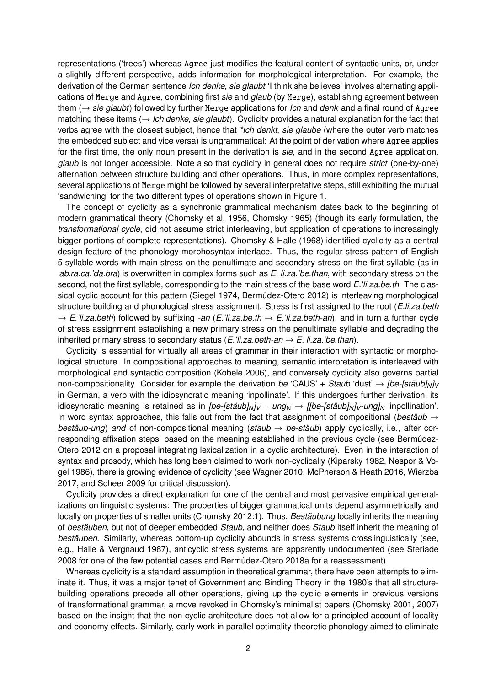representations ('trees') whereas Agree just modifies the featural content of syntactic units, or, under a slightly different perspective, adds information for morphological interpretation. For example, the derivation of the German sentence *Ich denke, sie glaubt* 'I think she believes' involves alternating applications of Merge and Agree, combining first *sie* and *glaub* (by Merge), establishing agreement between them (→ *sie glaubt*) followed by further Merge applications for *Ich* and *denk* and a final round of Agree matching these items (→ *Ich denke, sie glaubt*). Cyclicity provides a natural explanation for the fact that verbs agree with the closest subject, hence that *\*Ich denkt, sie glaube* (where the outer verb matches the embedded subject and vice versa) is ungrammatical: At the point of derivation where Agree applies for the first time, the only noun present in the derivation is *sie*, and in the second Agree application, *glaub* is not longer accessible. Note also that cyclicity in general does not require *strict* (one-by-one) alternation between structure building and other operations. Thus, in more complex representations, several applications of Merge might be followed by several interpretative steps, still exhibiting the mutual 'sandwiching' for the two different types of operations shown in Figure 1.

The concept of cyclicity as a synchronic grammatical mechanism dates back to the beginning of modern grammatical theory [\(Chomsky](#page-14-0) et al. [1956](#page-14-0), [Chomsky](#page-13-2) [1965\)](#page-13-2) (though its early formulation, the *transformational cycle*, did not assume strict interleaving, but application of operations to increasingly bigger portions of complete representations). [Chomsky](#page-14-1) & Halle ([1968\)](#page-14-1) identified cyclicity as a central design feature of the phonology-morphosyntax interface. Thus, the regular stress pattern of English 5-syllable words with main stress on the penultimate and secondary stress on the first syllable (as in *ab.ra.ca.*"*da.bra*) is overwritten in complex forms such as *E. li.za.*"*be.than*, with secondary stress on the second, not the first syllable, corresponding to the main stress of the base word *E.*"*li.za.be.th*. The classical cyclic account for this pattern [\(Siegel](#page-17-2) [1974](#page-17-2), [Bermúdez-Otero](#page-13-3) [2012](#page-13-3)) is interleaving morphological structure building and phonological stress assignment. Stress is first assigned to the root (*E.li.za.beth* → *E.*"*li.za.beth*) followed by suffixing *-an* (*E.*"*li.za.be.th* → *E.*"*li.za.beth-an*), and in turn a further cycle of stress assignment establishing a new primary stress on the penultimate syllable and degrading the inherited primary stress to secondary status (*E.*"*li.za.beth-an* → *E. li.za.*"*be.than*).

Cyclicity is essential for virtually all areas of grammar in their interaction with syntactic or morphological structure. In compositional approaches to meaning, semantic interpretation is interleaved with morphological and syntactic composition [\(Kobele](#page-15-3) [2006\)](#page-15-3), and conversely cyclicity also governs partial non-compositionality. Consider for example the derivation *be* 'CAUS' + *Staub* 'dust' → *[be-[stäub]<sub>N</sub>]*<sub>V</sub> in German, a verb with the idiosyncratic meaning 'inpollinate'. If this undergoes further derivation, its idiosyncratic meaning is retained as in *[be-[stäub]<sub>N</sub>]<sub>V</sub>* + *ung*<sub>N</sub>  $\rightarrow$  *[[be-[stäub]<sub>N</sub>]<sub>V</sub>-ung]*<sub>N</sub> 'inpollination'. In word syntax approaches, this falls out from the fact that assignment of compositional (*bestäub* → *bestäub-ung*) *and* of non-compositional meaning (*staub* → *be-stäub*) apply cyclically, i.e., after corresponding affixation steps, based on the meaning [established](#page-13-3) in the previous cycle (see Bermúdez-Otero [2012](#page-13-3) on a proposal integrating lexicalization in a cyclic architecture). Even in the interaction of syntax and prosody, which has long been claimed to work [non-cyclically](#page-16-2) ([Kiparsky](#page-15-2) [1982](#page-15-2), Nespor & Vogel [1986](#page-16-2)), there is growing evidence of cyclicity (see [Wagner](#page-18-1) [2010,](#page-18-1) [McPherson](#page-16-3) & Heath [2016](#page-16-3), [Wierzba](#page-18-2) [2017,](#page-18-2) and [Scheer](#page-17-3) [2009](#page-17-3) for critical discussion).

Cyclicity provides a direct explanation for one of the central and most pervasive empirical generalizations on linguistic systems: The properties of bigger grammatical units depend asymmetrically and locally on properties of smaller units [\(Chomsky](#page-14-2) [2012](#page-14-2):1). Thus, *Bestäubung* locally inherits the meaning of *bestäuben*, but not of deeper embedded *Staub*, and neither does *Staub* itself inherit the meaning of *bestäuben*. Similarly, whereas bottom-up cyclicity abounds in stress systems crosslinguistically (see, e.g., Halle & [Vergnaud](#page-14-3) [1987\)](#page-14-3), anticyclic stress systems are apparently undocumented (see [Steriade](#page-17-4) [2008](#page-17-4) for one of the few potential cases and [Bermúdez-Otero](#page-13-4) [2018a](#page-13-4) for a reassessment).

Whereas cyclicity is a standard assumption in theoretical grammar, there have been attempts to eliminate it. Thus, it was a major tenet of Government and Binding Theory in the 1980's that all structurebuilding operations precede all other operations, giving up the cyclic elements in previous versions of transformational grammar, a move revoked in Chomsky's minimalist papers [\(Chomsky](#page-13-1) [2001,](#page-13-1) [2007](#page-13-0)) based on the insight that the non-cyclic architecture does not allow for a principled account of locality and economy effects. Similarly, early work in parallel optimality-theoretic phonology aimed to eliminate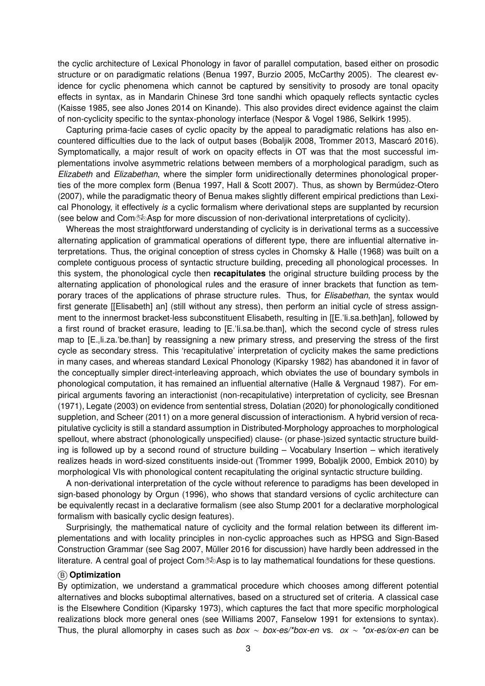the cyclic architecture of Lexical Phonology in favor of parallel computation, based either on prosodic structure or on paradigmatic relations ([Benua](#page-13-5) [1997](#page-13-5), [Burzio](#page-13-6) [2005](#page-13-6), [McCarthy](#page-15-4) [2005](#page-15-4)). The clearest evidence for cyclic phenomena which cannot be captured by sensitivity to prosody are tonal opacity effects in syntax, as in Mandarin Chinese 3rd tone sandhi which opaquely reflects syntactic cycles [\(Kaisse](#page-15-5) [1985,](#page-15-5) see also [Jones](#page-15-6) [2014](#page-15-6) on Kinande). This also provides direct evidence against the claim of non-cyclicity specific to the syntax-phonology interface ([Nespor](#page-16-2) & Vogel [1986](#page-16-2), [Selkirk](#page-17-5) [1995](#page-17-5)).

Capturing prima-facie cases of cyclic opacity by the appeal to paradigmatic relations has also encountered difficulties due to the lack of output bases [\(Bobaljik](#page-13-7) [2008](#page-13-7), [Trommer](#page-18-3) [2013](#page-18-3), [Mascaró](#page-15-7) [2016](#page-15-7)). Symptomatically, a major result of work on opacity effects in OT was that the most successful implementations involve asymmetric relations between members of a morphological paradigm, such as *Elizabeth* and *Elizabethan*, where the simpler form unidirectionally determines phonological properties of the more complex form [\(Benua](#page-13-5) [1997](#page-13-5), Hall & [Scott](#page-14-4) [2007\)](#page-14-4). Thus, as shown by [Bermúdez-Otero](#page-13-8) [\(2007](#page-13-8)), while the paradigmatic theory of Benua makes slightly different empirical predictions than Lexical Phonology, it effectively *is* a cyclic formalism where derivational steps are supplanted by recursion (see below and Com $\infty$ Asp for more discussion of non-derivational interpretations of cyclicity).

Whereas the most straightforward understanding of cyclicity is in derivational terms as a successive alternating application of grammatical operations of different type, there are influential alternative interpretations. Thus, the original conception of stress cycles in [Chomsky](#page-14-1) & Halle [\(1968](#page-14-1)) was built on a complete contiguous process of syntactic structure building, preceding all phonological processes. In this system, the phonological cycle then **recapitulates** the original structure building process by the alternating application of phonological rules and the erasure of inner brackets that function as temporary traces of the applications of phrase structure rules. Thus, for *Elisabethan*, the syntax would first generate [[Elisabeth] an] (still without any stress), then perform an initial cycle of stress assignment to the innermost bracket-less subconstituent Elisabeth, resulting in [[E."li.sa.beth]an], followed by a first round of bracket erasure, leading to [E."li.sa.be.than], which the second cycle of stress rules map to [E., |i.za. 'be.than] by reassigning a new primary stress, and preserving the stress of the first cycle as secondary stress. This 'recapitulative' interpretation of cyclicity makes the same predictions in many cases, and whereas standard Lexical Phonology ([Kiparsky](#page-15-2) [1982\)](#page-15-2) has abandoned it in favor of the conceptually simpler direct-interleaving approach, which obviates the use of boundary symbols in phonological computation, it has remained an influential alternative (Halle & [Vergnaud](#page-14-3) [1987\)](#page-14-3). For empirical arguments favoring an interactionist (non-recapitulative) interpretation of cyclicity, see [Bresnan](#page-13-9) [\(1971](#page-13-9)), [Legate](#page-15-8) [\(2003](#page-15-8)) on evidence from sentential stress, [Dolatian](#page-14-5) ([2020](#page-14-5)) for phonologically conditioned suppletion, and [Scheer](#page-17-6) [\(2011](#page-17-6)) on a more general discussion of interactionism. A hybrid version of recapitulative cyclicity is still a standard assumption in Distributed-Morphology approaches to morphological spellout, where abstract (phonologically unspecified) clause- (or phase-)sized syntactic structure building is followed up by a second round of structure building – Vocabulary Insertion – which iteratively realizes heads in word-sized constituents inside-out [\(Trommer](#page-17-7) [1999,](#page-17-7) [Bobaljik](#page-13-10) [2000](#page-13-10), [Embick](#page-14-6) [2010\)](#page-14-6) by morphological VIs with phonological content recapitulating the original syntactic structure building.

A non-derivational interpretation of the cycle without reference to paradigms has been developed in sign-based phonology by [Orgun](#page-16-4) [\(1996](#page-16-4)), who shows that standard versions of cyclic architecture can be equivalently recast in a declarative formalism (see also [Stump](#page-17-8) [2001](#page-17-8) for a declarative morphological formalism with basically cyclic design features).

Surprisingly, the mathematical nature of cyclicity and the formal relation between its different implementations and with locality principles in non-cyclic approaches such as HPSG and Sign-Based Construction Grammar (see [Sag](#page-17-9) [2007,](#page-17-9) [Müller](#page-16-5) [2016](#page-16-5) for discussion) have hardly been addressed in the literature. A central goal of project Com $\infty$ Asp is to lay mathematical foundations for these questions.

#### B **Optimization**

By optimization, we understand a grammatical procedure which chooses among different potential alternatives and blocks suboptimal alternatives, based on a structured set of criteria. A classical case is the Elsewhere Condition ([Kiparsky](#page-15-9) [1973\)](#page-15-9), which captures the fact that more specific morphological realizations block more general ones (see [Williams](#page-18-4) [2007](#page-18-4), [Fanselow](#page-14-7) [1991](#page-14-7) for extensions to syntax). Thus, the plural allomorphy in cases such as *box* ∼ *box-es/\*box-en* vs. *ox* ∼ *\*ox-es/ox-en* can be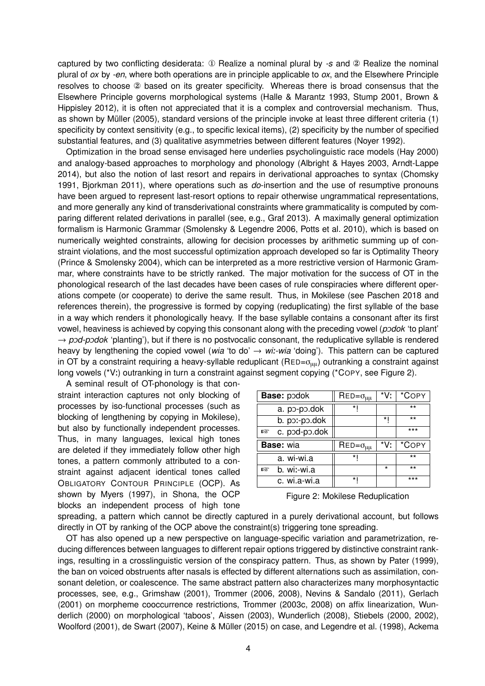captured by two conflicting desiderata: ① Realize a nominal plural by *-s* and ② Realize the nominal plural of *ox* by *-en*, where both operations are in principle applicable to *ox*, and the Elsewhere Principle resolves to choose ② based on its greater specificity. Whereas there is broad consensus that the Elsewhere Principle governs [morphological](#page-13-11) systems (Halle & [Marantz](#page-14-8) [1993,](#page-14-8) [Stump](#page-17-8) [2001](#page-17-8), Brown & Hippisley [2012\)](#page-13-11), it is often not appreciated that it is a complex and controversial mechanism. Thus, as shown by [Müller](#page-16-6) ([2005\)](#page-16-6), standard versions of the principle invoke at least three different criteria (1) specificity by context sensitivity (e.g., to specific lexical items), (2) specificity by the number of specified substantial features, and (3) qualitative asymmetries between different features [\(Noyer](#page-16-7) [1992](#page-16-7)).

Optimization in the broad sense envisaged here underlies psycholinguistic race models ([Hay](#page-14-9) [2000](#page-14-9)) and analogy-based approaches to morphology and phonology ([Albright](#page-13-12) & Hayes [2003,](#page-13-12) [Arndt-Lappe](#page-13-13) [2014\)](#page-13-13), but also the notion of last resort and repairs in derivational approaches to syntax [\(Chomsky](#page-13-14) [1991,](#page-13-14) [Bjorkman](#page-13-15) [2011\)](#page-13-15), where operations such as *do*-insertion and the use of resumptive pronouns have been argued to represent last-resort options to repair otherwise ungrammatical representations, and more generally any kind of transderivational constraints where grammaticality is computed by comparing different related derivations in parallel (see, e.g., [Graf](#page-14-10) [2013](#page-14-10)). A maximally general optimization formalism is Harmonic Grammar [\(Smolensky](#page-17-10) & Legendre [2006,](#page-17-10) [Potts](#page-17-11) et al. [2010\)](#page-17-11), which is based on numerically weighted constraints, allowing for decision processes by arithmetic summing up of constraint violations, and the most successful optimization approach developed so far is Optimality Theory (Prince & [Smolensky](#page-17-0) [2004](#page-17-0)), which can be interpreted as a more restrictive version of Harmonic Grammar, where constraints have to be strictly ranked. The major motivation for the success of OT in the phonological research of the last decades have been cases of rule conspiracies where different operations compete (or cooperate) to derive the same result. Thus, in Mokilese (see [Paschen](#page-16-8) [2018](#page-16-8) and references therein), the progressive is formed by copying (reduplicating) the first syllable of the base in a way which renders it phonologically heavy. If the base syllable contains a consonant after its first vowel, heaviness is achieved by copying this consonant along with the preceding vowel (*podok* 'to plant'  $\rightarrow$  *pod-podok* 'planting'), but if there is no postvocalic consonant, the reduplicative syllable is rendered heavy by lengthening the copied vowel (*wia* 'to do' → *wi*:*-wia* 'doing'). This pattern can be captured in OT by a constraint requiring a heavy-syllable reduplicant (RED= $\sigma_{\mu\mu}$ ) outranking a constraint against long vowels (\*V:) outranking in turn a constraint against segment copying (\*COPY, see Figure 2).

A seminal result of OT-phonology is that constraint interaction captures not only blocking of processes by iso-functional processes (such as blocking of lengthening by copying in Mokilese), but also by functionally independent processes. Thus, in many languages, lexical high tones are deleted if they immediately follow other high tones, a pattern commonly attributed to a constraint against adjacent identical tones called OBLIGATORY CONTOUR PRINCIPLE (OCP). As shown by [Myers](#page-16-9) [\(1997](#page-16-9)), in Shona, the OCP blocks an independent process of high tone

| <b>Base: podok</b> | $\mathsf{RED}=\sigma_{\mu\mu}$ | $*V:$   | *COPY |
|--------------------|--------------------------------|---------|-------|
| a. po-po.dok       | $\star$                        |         | **    |
| b. por-po.dok      |                                | *       | **    |
| c. pod-po.dok<br>隐 |                                |         | ***   |
|                    |                                |         |       |
| <b>Base:</b> wia   | $\mathsf{RED}=\sigma_{\mu\mu}$ | *V:     | *COPY |
| a. wi-wi.a         | $\star$                        |         | $***$ |
| b. wi:-wi.a<br>噁   |                                | $\star$ | $***$ |

Figure 2: Mokilese Reduplication

spreading, a pattern which cannot be directly captured in a purely derivational account, but follows directly in OT by ranking of the OCP above the constraint(s) triggering tone spreading.

OT has also opened up a new perspective on language-specific variation and parametrization, reducing differences between languages to different repair options triggered by distinctive constraint rankings, resulting in a crosslinguistic version of the conspiracy pattern. Thus, as shown by [Pater](#page-16-10) [\(1999](#page-16-10)), the ban on voiced obstruents after nasals is effected by different alternations such as assimilation, consonant deletion, or coalescence. The same abstract pattern also characterizes many morphosyntactic processes, see, e.g., [Grimshaw](#page-14-11) ([2001](#page-14-11)), [Trommer](#page-17-12) [\(2006](#page-17-12), [2008\)](#page-17-13), Nevins & [Sandalo](#page-16-11) [\(2011](#page-16-11)), [Gerlach](#page-14-12) [\(2001](#page-14-12)) on morpheme [cooccurrence](#page-18-5) restrictions, [Trommer](#page-17-14) ([2003c,](#page-17-14) [2008\)](#page-17-13) on affix linearization, Wunderlich [\(2000](#page-18-5)) on morphological 'taboos', [Aissen](#page-13-16) [\(2003](#page-13-16)), [Wunderlich](#page-18-6) ([2008\)](#page-18-6), [Stiebels](#page-17-15) ([2000,](#page-17-15) [2002](#page-17-16)), [Woolford](#page-18-7) ([2001](#page-18-7)), de [Swart](#page-17-17) ([2007\)](#page-17-17), Keine & [Müller](#page-15-10) ([2015\)](#page-15-10) on case, and [Legendre](#page-15-11) et al. [\(1998](#page-15-11)), Ackema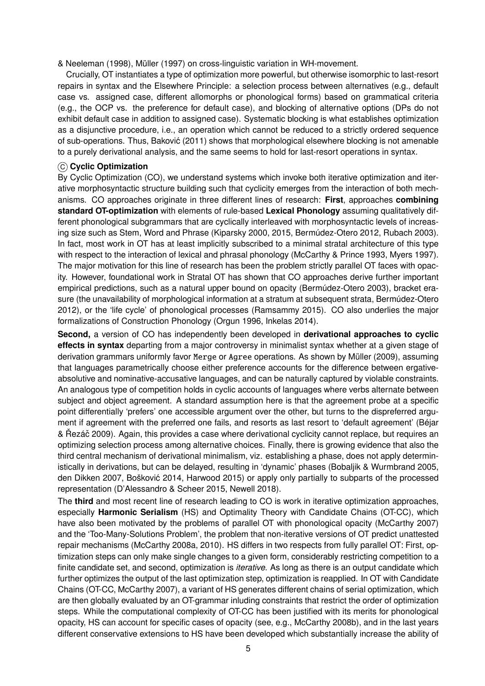& Neeleman [\(1998](#page-13-17)), [Müller](#page-16-12) [\(1997](#page-16-12)) on cross-linguistic variation in WH-movement.

Crucially, OT instantiates a type of optimization more powerful, but otherwise isomorphic to last-resort repairs in syntax and the Elsewhere Principle: a selection process between alternatives (e.g., default case vs. assigned case, different allomorphs or phonological forms) based on grammatical criteria (e.g., the OCP vs. the preference for default case), and blocking of alternative options (DPs do not exhibit default case in addition to assigned case). Systematic blocking is what establishes optimization as a disjunctive procedure, i.e., an operation which cannot be reduced to a strictly ordered sequence of sub-operations. Thus, [Bakovic´](#page-13-18) [\(2011](#page-13-18)) shows that morphological elsewhere blocking is not amenable to a purely derivational analysis, and the same seems to hold for last-resort operations in syntax.

### C **Cyclic Optimization**

By Cyclic Optimization (CO), we understand systems which invoke both iterative optimization and iterative morphosyntactic structure building such that cyclicity emerges from the interaction of both mechanisms. CO approaches originate in three different lines of research: **First**, approaches **combining standard OT-optimization** with elements of rule-based **Lexical Phonology** assuming qualitatively different phonological subgrammars that are cyclically interleaved with morphosyntactic levels of increasing size such as Stem, Word and Phrase ([Kiparsky](#page-15-12) [2000](#page-15-12), [2015,](#page-15-1) [Bermúdez-Otero](#page-13-3) [2012](#page-13-3), [Rubach](#page-17-18) [2003](#page-17-18)). In fact, most work in OT has at least implicitly subscribed to a minimal stratal architecture of this type with respect to the interaction of lexical and phrasal phonology ([McCarthy](#page-15-13) & Prince [1993,](#page-15-13) [Myers](#page-16-9) [1997](#page-16-9)). The major motivation for this line of research has been the problem strictly parallel OT faces with opacity. However, foundational work in Stratal OT has shown that CO approaches derive further important empirical predictions, such as a natural upper bound on opacity ([Bermúdez-Otero](#page-13-19) [2003\)](#page-13-19), bracket era-sure (the unavailability of morphological information at a stratum at subsequent strata, [Bermúdez-Otero](#page-13-3) [2012\)](#page-13-3), or the 'life cycle' of phonological processes [\(Ramsammy](#page-17-19) [2015](#page-17-19)). CO also underlies the major formalizations of Construction Phonology ([Orgun](#page-16-4) [1996](#page-16-4), [Inkelas](#page-15-14) [2014\)](#page-15-14).

**Second,** a version of CO has independently been developed in **derivational approaches to cyclic effects in syntax** departing from a major controversy in minimalist syntax whether at a given stage of derivation grammars uniformly favor Merge or Agree operations. As shown by [Müller](#page-16-13) [\(2009](#page-16-13)), assuming that languages parametrically choose either preference accounts for the difference between ergativeabsolutive and nominative-accusative languages, and can be naturally captured by violable constraints. An analogous type of competition holds in cyclic accounts of languages where verbs alternate between subject and object agreement. A standard assumption here is that the agreement probe at a specific point differentially 'prefers' one accessible argument over the other, but turns to the dispreferred argument if agreement with the preferred one fails, and resorts as last resort to 'default [agreement'](#page-13-20) (Béjar & Rˇ ezácˇ [2009\)](#page-13-20). Again, this provides a case where derivational cyclicity cannot replace, but requires an optimizing selection process among alternative choices. Finally, there is growing evidence that also the third central mechanism of derivational minimalism, viz. establishing a phase, does not apply deterministically in derivations, but can be delayed, resulting in 'dynamic' phases (Bobaljik & [Wurmbrand](#page-13-21) [2005,](#page-13-21) den [Dikken](#page-14-13) [2007](#page-14-13), Bošković [2014,](#page-13-22) [Harwood](#page-14-14) [2015\)](#page-14-14) or apply only partially to subparts of the processed representation [\(D'Alessandro](#page-14-15) & Scheer [2015](#page-14-15), [Newell](#page-16-14) [2018\)](#page-16-14).

The **third** and most recent line of research leading to CO is work in iterative optimization approaches, especially **Harmonic Serialism** (HS) and Optimality Theory with Candidate Chains (OT-CC), which have also been motivated by the problems of parallel OT with phonological opacity ([McCarthy](#page-15-15) [2007](#page-15-15)) and the 'Too-Many-Solutions Problem', the problem that non-iterative versions of OT predict unattested repair mechanisms [\(McCarthy](#page-16-15) [2008a](#page-16-15), [2010\)](#page-16-0). HS differs in two respects from fully parallel OT: First, optimization steps can only make single changes to a given form, considerably restricting competition to a finite candidate set, and second, optimization is *iterative*. As long as there is an output candidate which further optimizes the output of the last optimization step, optimization is reapplied. In OT with Candidate Chains (OT-CC, [McCarthy](#page-15-15) [2007\)](#page-15-15), a variant of HS generates different chains of serial optimization, which are then globally evaluated by an OT-grammar inluding constraints that restrict the order of optimization steps. While the computational complexity of OT-CC has been justified with its merits for phonological opacity, HS can account for specific cases of opacity (see, e.g., [McCarthy](#page-16-16) [2008b](#page-16-16)), and in the last years different conservative extensions to HS have been developed which substantially increase the ability of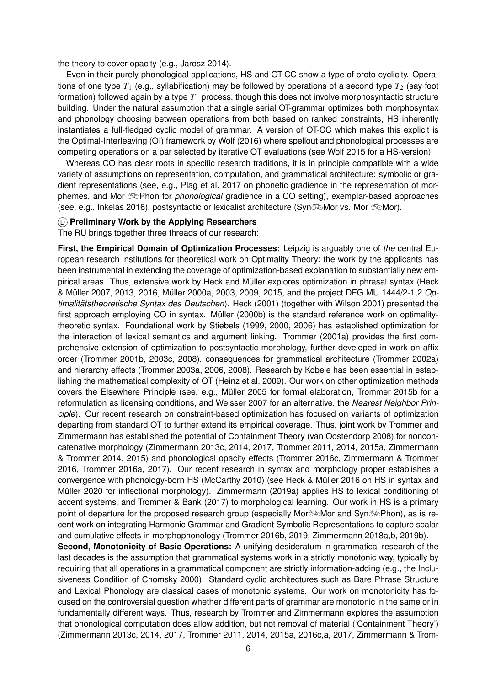the theory to cover opacity (e.g., [Jarosz](#page-15-16) [2014\)](#page-15-16).

Even in their purely phonological applications, HS and OT-CC show a type of proto-cyclicity. Operations of one type  $T_1$  (e.g., syllabification) may be followed by operations of a second type  $T_2$  (say foot formation) followed again by a type *T*<sup>1</sup> process, though this does not involve morphosyntactic structure building. Under the natural assumption that a single serial OT-grammar optimizes both morphosyntax and phonology choosing between operations from both based on ranked constraints, HS inherently instantiates a full-fledged cyclic model of grammar. A version of OT-CC which makes this explicit is the Optimal-Interleaving (OI) framework by [Wolf](#page-18-8) [\(2016\)](#page-18-8) where spellout and phonological processes are competing operations on a par selected by iterative OT evaluations (see [Wolf](#page-18-9) [2015](#page-18-9) for a HS-version).

Whereas CO has clear roots in specific research traditions, it is in principle compatible with a wide variety of assumptions on representation, computation, and grammatical architecture: symbolic or gradient representations (see, e.g., [Plag](#page-17-20) et al. [2017](#page-17-20) on phonetic gradience in the representation of morphemes, and Mor !Phon for *phonological* gradience in a CO setting), exemplar-based approaches (see, e.g., [Inkelas](#page-15-17) [2016](#page-15-17)), postsyntactic or lexicalist architecture (Syn%Mor vs. Mor %Mor).

#### D **Preliminary Work by the Applying Researchers**

The RU brings together three threads of our research:

**First, the Empirical Domain of Optimization Processes:** Leipzig is arguably one of *the* central European research institutions for theoretical work on Optimality Theory; the work by the applicants has been instrumental in extending the coverage of optimization-based explanation to substantially new empirical areas. Thus, extensive work by Heck and Müller explores [optimization](#page-14-16) in phrasal syntax (Heck & Müller [2007](#page-14-16), [2013](#page-14-17), [2016](#page-14-18), [Müller](#page-16-17) [2000a](#page-16-17), [2003](#page-16-18), [2009](#page-16-13), [2015](#page-16-19), and the project DFG MU 1444/2-1,2 *Optimalitätstheoretische Syntax des Deutschen*). [Heck](#page-14-19) ([2001\)](#page-14-19) (together with [Wilson](#page-18-10) [2001\)](#page-18-10) presented the first approach employing CO in syntax. [Müller](#page-16-20) [\(2000b\)](#page-16-20) is the standard reference work on optimalitytheoretic syntax. Foundational work by [Stiebels](#page-17-21) [\(1999](#page-17-21), [2000](#page-17-15), [2006\)](#page-17-22) has established optimization for the interaction of lexical semantics and argument linking. [Trommer](#page-17-23) [\(2001a\)](#page-17-23) provides the first comprehensive extension of optimization to postsyntactic morphology, further developed in work on affix order ([Trommer](#page-17-24) [2001b](#page-17-24), [2003c,](#page-17-14) [2008\)](#page-17-13), consequences for grammatical architecture [\(Trommer](#page-17-25) [2002a](#page-17-25)) and hierarchy effects ([Trommer](#page-17-26) [2003a](#page-17-26), [2006](#page-17-12), [2008](#page-17-13)). Research by Kobele has been essential in establishing the mathematical complexity of OT ([Heinz](#page-15-18) et al. [2009](#page-15-18)). Our work on other optimization methods covers the Elsewhere Principle (see, e.g., [Müller](#page-16-6) [2005](#page-16-6) for formal elaboration, [Trommer](#page-18-11) [2015b](#page-18-11) for a reformulation as licensing conditions, and [Weisser](#page-18-12) [2007](#page-18-12) for an alternative, the *Nearest Neighbor Principle*). Our recent research on constraint-based optimization has focused on variants of optimization departing from standard OT to further extend its empirical coverage. Thus, joint work by Trommer and Zimmermann has established the potential of Containment Theory (van [Oostendorp](#page-16-21) [2008](#page-16-21)) for nonconcatenative morphology [\(](#page-19-1)[Zimmermann](#page-18-13) [2013c](#page-18-13), [2014](#page-18-14), [2017,](#page-19-0) [Trommer](#page-18-0) [2011,](#page-18-0) [2014](#page-18-15), [2015a](#page-18-16), Zimmermann & Trommer [2014](#page-19-1), [2015\)](#page-19-2) and phonological opacity effects ([Trommer](#page-18-17) [2016c,](#page-18-17) [Zimmermann](#page-19-3) & Trommer [2016,](#page-19-3) [Trommer](#page-18-18) [2016a,](#page-18-18) [2017\)](#page-18-19). Our recent research in syntax and morphology proper establishes a convergence with phonology-born HS ([McCarthy](#page-16-0) [2010](#page-16-0)) (see Heck & [Müller](#page-14-18) [2016](#page-14-18) on HS in syntax and [Müller](#page-16-1) [2020](#page-16-1) for inflectional morphology). [Zimmermann](#page-19-4) ([2019a](#page-19-4)) applies HS to lexical conditioning of accent systems, and [Trommer](#page-18-20) & Bank [\(2017](#page-18-20)) to morphological learning. Our work in HS is a primary point of departure for the proposed research group (especially Mor $\delta\Phi$ Mor and Syn $\delta\Phi$ Phon), as is recent work on integrating Harmonic Grammar and Gradient Symbolic Representations to capture scalar and cumulative effects in morphophonology ([Trommer](#page-18-21) [2016b](#page-18-21), [2019,](#page-18-22) [Zimmermann](#page-19-5) [2018a,](#page-19-5)[b](#page-19-6), [2019b\)](#page-19-7).

**Second, Monotonicity of Basic Operations:** A unifying desideratum in grammatical research of the last decades is the assumption that grammatical systems work in a strictly monotonic way, typically by requiring that all operations in a grammatical component are strictly information-adding (e.g., the Inclusiveness Condition of [Chomsky](#page-13-23) [2000](#page-13-23)). Standard cyclic architectures such as Bare Phrase Structure and Lexical Phonology are classical cases of monotonic systems. Our work on monotonicity has focused on the controversial question whether different parts of grammar are monotonic in the same or in fundamentally different ways. Thus, research by Trommer and Zimmermann explores the assumption that phonological computation does allow addition, but not removal of material ('Containment Theory') [\(Zimmermann](#page-18-13) [2013c,](#page-18-13) [2014,](#page-18-14) [2017,](#page-19-0) [Trommer](#page-18-0) [2011](#page-18-0), [2014](#page-18-15), [2015a,](#page-18-16) [2016c,](#page-18-17)[a](#page-18-18), [2017](#page-18-19), Zimmermann & Trom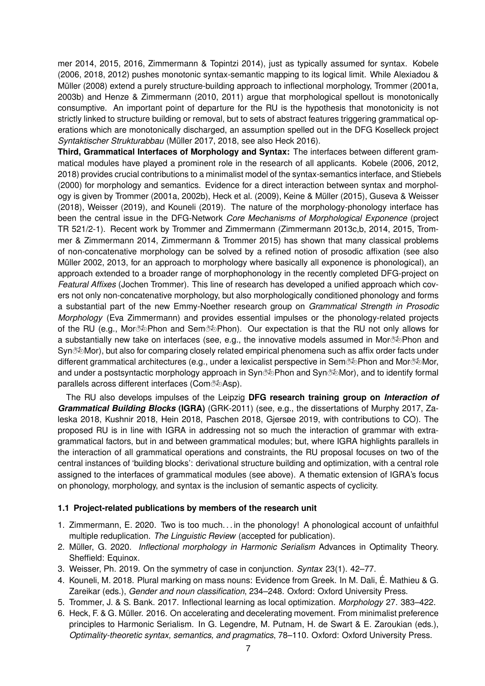mer [2014,](#page-19-1) [2015](#page-19-2), [2016](#page-19-3), [Zimmermann](#page-19-8) & Topintzi [2014\)](#page-19-8), just as typically assumed for syntax. [Kobele](#page-15-3) [\(2006](#page-15-3), [2018](#page-15-19), [2012\)](#page-15-20) pushes monotonic [syntax-semantic](#page-13-24) mapping to its logical limit. While Alexiadou & Müller [\(2008\)](#page-13-24) extend a purely structure-building approach to inflectional morphology, [Trommer](#page-17-23) ([2001a,](#page-17-23) [2003b\)](#page-17-27) and Henze & [Zimmermann](#page-15-21) [\(2010](#page-15-21), [2011](#page-15-22)) argue that morphological spellout is monotonically consumptive. An important point of departure for the RU is the hypothesis that monotonicity is not strictly linked to structure building or removal, but to sets of abstract features triggering grammatical operations which are monotonically discharged, an assumption spelled out in the DFG Koselleck project *Syntaktischer Strukturabbau* ([Müller](#page-16-22) [2017,](#page-16-22) [2018,](#page-16-23) see also [Heck](#page-14-20) [2016](#page-14-20)).

**Third, Grammatical Interfaces of Morphology and Syntax:** The interfaces between different grammatical modules have played a prominent role in the research of all applicants. [Kobele](#page-15-3) [\(2006](#page-15-3), [2012,](#page-15-20) [2018\)](#page-15-19) provides crucial contributions to a minimalist model of the syntax-semantics interface, and [Stiebels](#page-17-15) [\(2000](#page-17-15)) for morphology and semantics. Evidence for a direct interaction between syntax and morphology is given by [Trommer](#page-17-23) ([2001a,](#page-17-23) [2002b](#page-17-28)), [Heck](#page-14-21) et al. [\(2009](#page-14-21)), Keine & [Müller](#page-15-10) ([2015\)](#page-15-10), Guseva & [Weisser](#page-14-22) [\(2018](#page-14-22)), [Weisser](#page-18-23) ([2019\)](#page-18-23), and [Kouneli](#page-15-23) ([2019\)](#page-15-23). The nature of the morphology-phonology interface has been the central issue in the DFG-Network *Core Mechanisms of Morphological Exponence* (project TR 521/2-1). Recent work by Trommer and Zimmermann [\(](#page-18-26)[Zimmerman](#page-18-13)[n](#page-18-26) [2013c](#page-18-13),[b,](#page-18-24) [2014](#page-18-14), [2015,](#page-18-25) Trommer & Zimmermann [2014](#page-18-26), [Zimmermann](#page-19-2) & Trommer [2015\)](#page-19-2) has shown that many classical problems of non-concatenative morphology can be solved by a refined notion of prosodic affixation (see also [Müller](#page-16-24) [2002](#page-16-24), [2013,](#page-16-25) for an approach to morphology where basically all exponence is phonological), an approach extended to a broader range of morphophonology in the recently completed DFG-project on *Featural Affixes* (Jochen Trommer). This line of research has developed a unified approach which covers not only non-concatenative morphology, but also morphologically conditioned phonology and forms a substantial part of the new Emmy-Noether research group on *Grammatical Strength in Prosodic Morphology* (Eva Zimmermann) and provides essential impulses or the phonology-related projects of the RU (e.g., Mor $\infty$ Phon and Sem $\infty$ Phon). Our expectation is that the RU not only allows for a substantially new take on interfaces (see, e.g., the innovative models assumed in Mor $\infty$ Phon and Syn $\otimes$ Mor), but also for comparing closely related empirical phenomena such as affix order facts under different grammatical architectures (e.g., under a lexicalist perspective in Sem% Phon and Mor Mor, and under a postsyntactic morphology approach in Syn $\infty$ Phon and Syn $\infty$ Mor), and to identify formal parallels across different interfaces (Com $\delta\Phi$ Asp).

The RU also develops impulses of the Leipzig **DFG research training group on** *Interaction of Grammatical Building Blocks* **(IGRA)** (GRK-2011) (see, e.g., the [dissertations](#page-18-27) of [Murphy](#page-16-26) [2017,](#page-16-26) Zaleska [2018](#page-18-27), [Kushnir](#page-15-24) [2018,](#page-15-24) [Hein](#page-14-23) [2018](#page-14-23), [Paschen](#page-16-8) [2018](#page-16-8), [Gjersøe](#page-14-24) [2019](#page-14-24), with contributions to CO). The proposed RU is in line with IGRA in addressing not so much the interaction of grammar with extragrammatical factors, but in and between grammatical modules; but, where IGRA highlights parallels in the interaction of all grammatical operations and constraints, the RU proposal focuses on two of the central instances of 'building blocks': derivational structure building and optimization, with a central role assigned to the interfaces of grammatical modules (see above). A thematic extension of IGRA's focus on phonology, morphology, and syntax is the inclusion of semantic aspects of cyclicity.

#### **1.1 Project-related publications by members of the research unit**

- 1. Zimmermann, E. 2020. Two is too much. . . in the phonology! A phonological account of unfaithful multiple reduplication. *The Linguistic Review* (accepted for publication).
- 2. Müller, G. 2020. *Inflectional morphology in Harmonic Serialism* Advances in Optimality Theory. Sheffield: Equinox.
- 3. Weisser, Ph. 2019. On the symmetry of case in conjunction. *Syntax* 23(1). 42–77.
- 4. Kouneli, M. 2018. Plural marking on mass nouns: Evidence from Greek. In M. Dali, É. Mathieu & G. Zareikar (eds.), *Gender and noun classification*, 234–248. Oxford: Oxford University Press.
- 5. Trommer, J. & S. Bank. 2017. Inflectional learning as local optimization. *Morphology* 27. 383–422.
- 6. Heck, F. & G. Müller. 2016. On accelerating and decelerating movement. From minimalist preference principles to Harmonic Serialism. In G. Legendre, M. Putnam, H. de Swart & E. Zaroukian (eds.), *[Optimality-theoretic](#page-19-1) syntax, semantics, and pragmatics*, 78–110. Oxford: Oxford University Press.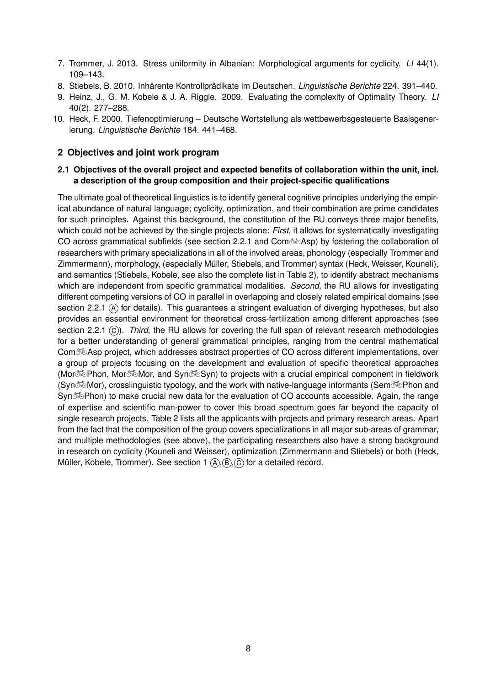- 7. Trommer, J. 2013. Stress uniformity in Albanian: Morphological arguments for cyclicity. *LI* 44(1). 109–143.
- 8. Stiebels, B. 2010. Inhärente Kontrollprädikate im Deutschen. *Linguistische Berichte* 224. 391–440.
- 9. Heinz, J., G. M. Kobele & J. A. Riggle. 2009. Evaluating the complexity of Optimality Theory. *LI* 40(2). 277–288.
- 10. Heck, F. 2000. Tiefenoptimierung Deutsche Wortstellung als wettbewerbsgesteuerte Basisgenerierung. *Linguistische Berichte* 184. 441–468.

## <span id="page-7-0"></span>**2 Objectives and joint work program**

## **2.1 Objectives of the overall project and expected benefits of collaboration within the unit, incl. a description of the group composition and their project-specific qualifications**

The ultimate goal of theoretical linguistics is to identify general cognitive principles underlying the empirical abundance of natural language; cyclicity, optimization, and their combination are prime candidates for such principles. Against this background, the constitution of the RU conveys three major benefits, which could not be achieved by the single projects alone: *First*, it allows for systematically investigating CO across grammatical subfields (see section [2.2.1](#page-8-0) and  $Com \bar{\otimes}$ Asp) by fostering the collaboration of researchers with primary specializations in all of the involved areas, phonology (especially Trommer and Zimmermann), morphology, (especially Müller, Stiebels, and Trommer) syntax (Heck, Weisser, Kouneli), and semantics (Stiebels, Kobele, see also the complete list in Table 2), to identify abstract mechanisms which are independent from specific grammatical modalities. *Second,* the RU allows for investigating different competing versions of CO in parallel in overlapping and closely related empirical domains (see section [2.2.1](#page-8-0)  $(A)$  for details). This quarantees a stringent evaluation of diverging hypotheses, but also provides an essential environment for theoretical cross-fertilization among different approaches (see section [2.2.1](#page-8-0)  $\circ$ ). *Third*, the RU allows for covering the full span of relevant research methodologies for a better understanding of general grammatical principles, ranging from the central mathematical Com $\infty$ Asp project, which addresses abstract properties of CO across different implementations, over a group of projects focusing on the development and evaluation of specific theoretical approaches (Mor $\infty$ Phon, Mor $\infty$ Mor, and Syn $\infty$ Syn) to projects with a crucial empirical component in fieldwork (Syn%Mor), crosslinguistic typology, and the work with native-language informants (Sem%DPhon and Syn% Phon) to make crucial new data for the evaluation of CO accounts accessible. Again, the range of expertise and scientific man-power to cover this broad spectrum goes far beyond the capacity of single research projects. Table 2 lists all the applicants with projects and primary research areas. Apart from the fact that the composition of the group covers specializations in all major sub-areas of grammar, and multiple methodologies (see above), the participating researchers also have a strong background in research on cyclicity (Kouneli and Weisser), optimization (Zimmermann and Stiebels) or both (Heck, Müller, Kobele, Trommer). See section 1  $(A), (B), (C)$  for a detailed record.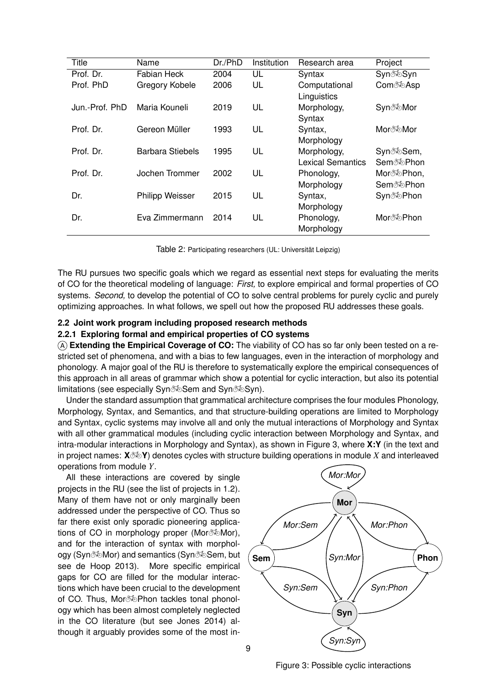| Title          | Name                   | Dr./PhD | Institution | Research area                           | Project                                                       |
|----------------|------------------------|---------|-------------|-----------------------------------------|---------------------------------------------------------------|
| Prof. Dr.      | Fabian Heck            | 2004    | UL          | Syntax                                  | Syn <sup>‰</sup> Syn                                          |
| Prof. PhD      | Gregory Kobele         | 2006    | UL          | Computational<br>Linguistics            | Com <sup>®</sup> ®Asp                                         |
| Jun.-Prof. PhD | Maria Kouneli          | 2019    | UL          | Morphology,<br>Syntax                   | Syn‰Mor                                                       |
| Prof. Dr.      | Gereon Müller          | 1993    | UL          | Syntax,<br>Morphology                   | Morð ®Mor                                                     |
| Prof. Dr.      | Barbara Stiebels       | 1995    | UL          | Morphology,<br><b>Lexical Semantics</b> | Syn <sup>3</sup> <sup>5</sup> ⊗Sem,<br>Sem <sup>®</sup> ®Phon |
| Prof. Dr.      | Jochen Trommer         | 2002    | UL          | Phonology,<br>Morphology                | Mor‰Phon,<br>Sem <sup>‰</sup> Phon                            |
| Dr.            | <b>Philipp Weisser</b> | 2015    | UL          | Syntax,<br>Morphology                   | Syn‰Phon                                                      |
| Dr.            | Eva Zimmermann         | 2014    | UL          | Phonology,<br>Morphology                | Mor‰Phon                                                      |

Table 2: Participating researchers (UL: Universität Leipzig)

The RU pursues two specific goals which we regard as essential next steps for evaluating the merits of CO for the theoretical modeling of language: *First,* to explore empirical and formal properties of CO systems. *Second,* to develop the potential of CO to solve central problems for purely cyclic and purely optimizing approaches. In what follows, we spell out how the proposed RU addresses these goals.

#### **2.2 Joint work program including proposed research methods**

#### <span id="page-8-0"></span>**2.2.1 Exploring formal and empirical properties of CO systems**

A **Extending the Empirical Coverage of CO:** The viability of CO has so far only been tested on a restricted set of phenomena, and with a bias to few languages, even in the interaction of morphology and phonology. A major goal of the RU is therefore to systematically explore the empirical consequences of this approach in all areas of grammar which show a potential for cyclic interaction, but also its potential limitations (see especially Syn Sem and Syn SeSyn).

Under the standard assumption that grammatical architecture comprises the four modules Phonology, Morphology, Syntax, and Semantics, and that structure-building operations are limited to Morphology and Syntax, cyclic systems may involve all and only the mutual interactions of Morphology and Syntax with all other grammatical modules (including cyclic interaction between Morphology and Syntax, and intra-modular interactions in Morphology and Syntax), as shown in Figure 3, where **X:Y** (in the text and in project names:  $\mathbf{X} \otimes \mathbf{Y}$ ) denotes cycles with structure building operations in module *X* and interleaved operations from module *Y*.

All these interactions are covered by single projects in the RU (see the list of projects in 1.2). Many of them have not or only marginally been addressed under the perspective of CO. Thus so far there exist only sporadic pioneering applications of CO in morphology proper (Mor $\infty$ Mor), and for the interaction of syntax with morphology (Syn%Mor) and semantics (Syn% Sem, but see de [Hoop](#page-15-25) [2013](#page-15-25)). More specific empirical gaps for CO are filled for the modular interactions which have been crucial to the development of CO. Thus, Mor $\frac{1}{2}$ Phon tackles tonal phonology which has been almost completely neglected in the CO literature (but see [Jones](#page-15-6) [2014](#page-15-6)) although it arguably provides some of the most in-



Figure 3: Possible cyclic interactions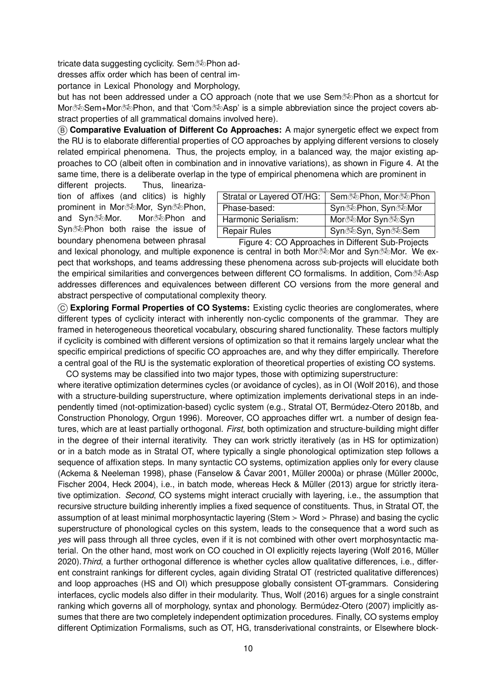tricate data suggesting cyclicity. Sem $\infty$ Phon ad-

dresses affix order which has been of central im-

portance in Lexical Phonology and Morphology,

but has not been addressed under a CO approach (note that we use Sem $\delta\Phi$ Phon as a shortcut for Mor $\&$ Sem+Mor $\&$ Phon, and that 'Com $\&$ Asp' is a simple abbreviation since the project covers abstract properties of all grammatical domains involved here).

B **Comparative Evaluation of Different Co Approaches:** A major synergetic effect we expect from the RU is to elaborate differential properties of CO approaches by applying different versions to closely related empirical phenomena. Thus, the projects employ, in a balanced way, the major existing approaches to CO (albeit often in combination and in innovative variations), as shown in Figure 4. At the same time, there is a deliberate overlap in the type of empirical phenomena which are prominent in

different projects. Thus, linearization of affixes (and clitics) is highly prominent in Mor $\infty$ Mor, Syn $\infty$ Phon, and Syn $\delta$  Mor. Mor $\delta$  More Phon and Syn% Phon both raise the issue of boundary phenomena between phrasal

| Stratal or Layered OT/HG: | Sem‰Phon, Mor‰Phon         |
|---------------------------|----------------------------|
| Phase-based:              | Syn‰Phon, Syn‰Mor          |
| Harmonic Serialism:       | Morð <b>©</b> Mor Syn o vo |
| <b>Repair Rules</b>       | Synð oSyn, Synð oSem       |
|                           |                            |

Figure 4: CO Approaches in Different Sub-Projects and lexical phonology, and multiple exponence is central in both Mor $\delta\gg$ Mor and Syn $\delta\gg$ Mor. We expect that workshops, and teams addressing these phenomena across sub-projects will elucidate both the empirical similarities and convergences between different CO formalisms. In addition, Com $\infty$ Asp addresses differences and equivalences between different CO versions from the more general and abstract perspective of computational complexity theory.

C **Exploring Formal Properties of CO Systems:** Existing cyclic theories are conglomerates, where different types of cyclicity interact with inherently non-cyclic components of the grammar. They are framed in heterogeneous theoretical vocabulary, obscuring shared functionality. These factors multiply if cyclicity is combined with different versions of optimization so that it remains largely unclear what the specific empirical predictions of specific CO approaches are, and why they differ empirically. Therefore a central goal of the RU is the systematic exploration of theoretical properties of existing CO systems.

CO systems may be classified into two major types, those with optimizing superstructure: where iterative optimization determines cycles (or avoidance of cycles), as in OI [\(Wolf](#page-18-8) [2016](#page-18-8)), and those with a structure-building superstructure, where optimization implements derivational steps in an independently timed (not-optimization-based) cyclic system (e.g., Stratal OT, [Bermúdez-Otero](#page-13-25) [2018b](#page-13-25), and Construction Phonology, [Orgun](#page-16-4) [1996](#page-16-4)). Moreover, CO approaches differ wrt. a number of design features, which are at least partially orthogonal. *First*, both optimization and structure-building might differ in the degree of their internal iterativity. They can work strictly iteratively (as in HS for optimization) or in a batch mode as in Stratal OT, where typically a single phonological optimization step follows a sequence of affixation steps. In many syntactic CO systems, optimization applies only for every clause (Ackema & [Neeleman](#page-13-17) [1998](#page-13-17)), phase [\(Fanselow](#page-14-25) & Ćavar [2001,](#page-14-25) [Müller](#page-16-17) [2000a\)](#page-16-17) or phrase [\(Müller](#page-16-27) [2000c,](#page-16-27) [Fischer](#page-14-26) [2004](#page-14-26), [Heck](#page-14-27) [2004\)](#page-14-27), i.e., in batch mode, whereas Heck & [Müller](#page-14-17) ([2013\)](#page-14-17) argue for strictly iterative optimization. *Second*, CO systems might interact crucially with layering, i.e., the assumption that recursive structure building inherently implies a fixed sequence of constituents. Thus, in Stratal OT, the assumption of at least minimal morphosyntactic layering (Stem ≻ Word ≻ Phrase) and basing the cyclic superstructure of phonological cycles on this system, leads to the consequence that a word such as *yes* will pass through all three cycles, even if it is not combined with other overt morphosyntactic material. On the other hand, most work on CO couched in OI explicitly rejects layering [\(Wolf](#page-18-8) [2016](#page-18-8), [Müller](#page-16-1) [2020\)](#page-16-1).*Third*, a further orthogonal difference is whether cycles allow qualitative differences, i.e., different constraint rankings for different cycles, again dividing Stratal OT (restricted qualitative differences) and loop approaches (HS and OI) which presuppose globally consistent OT-grammars. Considering interfaces, cyclic models also differ in their modularity. Thus, [Wolf](#page-18-8) [\(2016](#page-18-8)) argues for a single constraint ranking which governs all of morphology, syntax and phonology. [Bermúdez-Otero](#page-13-8) [\(2007](#page-13-8)) implicitly assumes that there are two completely independent optimization procedures. Finally, CO systems employ different Optimization Formalisms, such as OT, HG, transderivational constraints, or Elsewhere block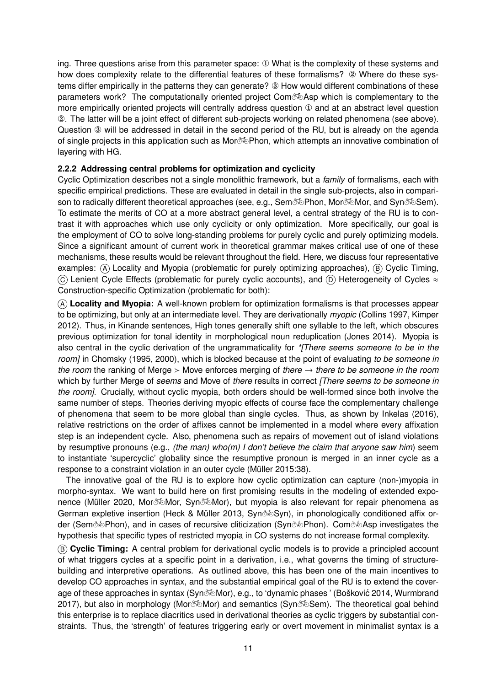ing. Three questions arise from this parameter space: ① What is the complexity of these systems and how does complexity relate to the differential features of these formalisms? ② Where do these systems differ empirically in the patterns they can generate? ③ How would different combinations of these parameters work? The computationally oriented project Com $\infty$ Asp which is complementary to the more empirically oriented projects will centrally address question ① and at an abstract level question ②. The latter will be a joint effect of different sub-projects working on related phenomena (see above). Question ③ will be addressed in detail in the second period of the RU, but is already on the agenda of single projects in this application such as Mor $\infty$ Phon, which attempts an innovative combination of layering with HG.

### **2.2.2 Addressing central problems for optimization and cyclicity**

Cyclic Optimization describes not a single monolithic framework, but a *family* of formalisms, each with specific empirical predictions. These are evaluated in detail in the single sub-projects, also in comparison to radically different theoretical approaches (see, e.g., Sem $\gg$ Phon, Mor $\gg$ Mor, and Syn $\gg$ Sem). To estimate the merits of CO at a more abstract general level, a central strategy of the RU is to contrast it with approaches which use only cyclicity or only optimization. More specifically, our goal is the employment of CO to solve long-standing problems for purely cyclic and purely optimizing models. Since a significant amount of current work in theoretical grammar makes critical use of one of these mechanisms, these results would be relevant throughout the field. Here, we discuss four representative examples:  $\overline{A}$  Locality and Myopia (problematic for purely optimizing approaches),  $\overline{B}$  Cyclic Timing,  $(C)$  Lenient Cycle Effects (problematic for purely cyclic accounts), and  $(D)$  Heterogeneity of Cycles  $\approx$ Construction-specific Optimization (problematic for both):

A **Locality and Myopia:** A well-known problem for optimization formalisms is that processes appear to be optimizing, but only at an intermediate level. They are derivationally *myopic* ([Collins](#page-14-28) [1997](#page-14-28), [Kimper](#page-15-26) [2012\)](#page-15-26). Thus, in Kinande sentences, High tones generally shift one syllable to the left, which obscures previous optimization for tonal identity in morphological noun reduplication [\(Jones](#page-15-6) [2014\)](#page-15-6). Myopia is also central in the cyclic derivation of the ungrammaticality for *\*[There seems someone to be in the room]* in [Chomsky](#page-13-26) ([1995,](#page-13-26) [2000\)](#page-13-23), which is blocked because at the point of evaluating *to be someone in the room* the ranking of Merge ≻ Move enforces merging of *there* → *there to be someone in the room* which by further Merge of *seems* and Move of *there* results in correct *[There seems to be someone in the room]*. Crucially, without cyclic myopia, both orders should be well-formed since both involve the same number of steps. Theories deriving myopic effects of course face the complementary challenge of phenomena that seem to be more global than single cycles. Thus, as shown by [Inkelas](#page-15-17) [\(2016](#page-15-17)), relative restrictions on the order of affixes cannot be implemented in a model where every affixation step is an independent cycle. Also, phenomena such as repairs of movement out of island violations by resumptive pronouns (e.g., *(the man) who(m) I don't believe the claim that anyone saw him*) seem to instantiate 'supercyclic' globality since the resumptive pronoun is merged in an inner cycle as a response to a constraint violation in an outer cycle ([Müller](#page-16-19) [2015](#page-16-19):38).

The innovative goal of the RU is to explore how cyclic optimization can capture (non-)myopia in morpho-syntax. We want to build here on first promising results in the modeling of extended expo-nence ([Müller](#page-16-1) [2020,](#page-16-1) Mor $\infty$ Mor, Syn $\infty$ Mor), but myopia is also relevant for repair phenomena as German expletive insertion (Heck & [Müller](#page-14-17) [2013,](#page-14-17) Syn%Syn), in phonologically conditioned affix order (Sem $\infty$ Phon), and in cases of recursive cliticization (Syn $\infty$ Phon). Com $\infty$ Asp investigates the hypothesis that specific types of restricted myopia in CO systems do not increase formal complexity.

B **Cyclic Timing:** A central problem for derivational cyclic models is to provide a principled account of what triggers cycles at a specific point in a derivation, i.e., what governs the timing of structurebuilding and interpretive operations. As outlined above, this has been one of the main incentives to develop CO approaches in syntax, and the substantial empirical goal of the RU is to extend the cover-age of these approaches in syntax (Syn‰Mor), e.g., to 'dynamic phases ' (Bošković [2014](#page-13-22), [Wurmbrand](#page-18-28) [2017\)](#page-18-28), but also in morphology (Mor $\&$ Mor) and semantics (Syn $\&$ Sem). The theoretical goal behind this enterprise is to replace diacritics used in derivational theories as cyclic triggers by substantial constraints. Thus, the 'strength' of features triggering early or overt movement in minimalist syntax is a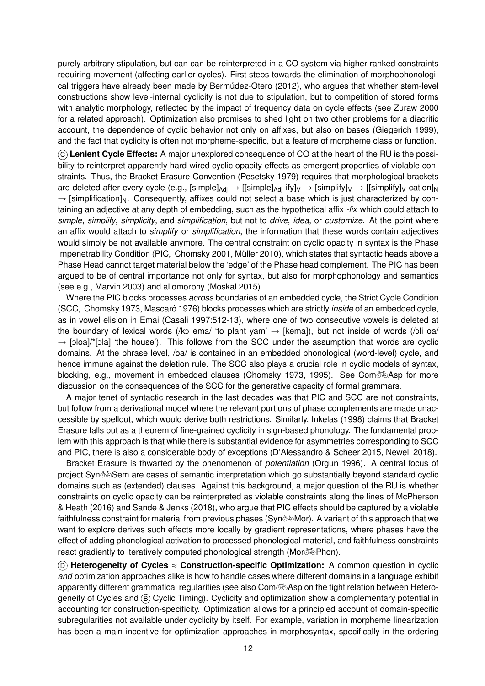purely arbitrary stipulation, but can can be reinterpreted in a CO system via higher ranked constraints requiring movement (affecting earlier cycles). First steps towards the elimination of morphophonological triggers have already been made by [Bermúdez-Otero](#page-13-3) [\(2012](#page-13-3)), who argues that whether stem-level constructions show level-internal cyclicity is not due to stipulation, but to competition of stored forms with analytic morphology, reflected by the impact of frequency data on cycle effects (see [Zuraw](#page-19-9) [2000](#page-19-9) for a related approach). Optimization also promises to shed light on two other problems for a diacritic account, the dependence of cyclic behavior not only on affixes, but also on bases ([Giegerich](#page-14-29) [1999](#page-14-29)), and the fact that cyclicity is often not morpheme-specific, but a feature of morpheme class or function.

C **Lenient Cycle Effects:** A major unexplored consequence of CO at the heart of the RU is the possibility to reinterpret apparently hard-wired cyclic opacity effects as emergent properties of violable constraints. Thus, the Bracket Erasure Convention [\(Pesetsky](#page-17-29) [1979](#page-17-29)) requires that morphological brackets are deleted after every cycle (e.g., [simple] $_{\text{Adi}} \to$  [[simple] $_{\text{Adi}}$ -ify] $_{\text{V}} \to$  [simplify] $_{\text{V}} \to$  [[simplify] $_{\text{V}}$ -cation] $_{\text{N}}$  $\rightarrow$  [simplification]<sub>N</sub>. Consequently, affixes could not select a base which is just characterized by containing an adjective at any depth of embedding, such as the hypothetical affix *-lix* which could attach to *simple*, *simplify*, *simplicity*, and *simplification*, but not to *drive*, *idea*, or *customize*. At the point where an affix would attach to *simplify* or *simplification*, the information that these words contain adjectives would simply be not available anymore. The central constraint on cyclic opacity in syntax is the Phase Impenetrability Condition (PIC, [Chomsky](#page-13-1) [2001](#page-13-1), [Müller](#page-16-28) [2010](#page-16-28)), which states that syntactic heads above a Phase Head cannot target material below the 'edge' of the Phase head complement. The PIC has been argued to be of central importance not only for syntax, but also for morphophonology and semantics (see e.g., [Marvin](#page-15-27) [2003](#page-15-27)) and allomorphy ([Moskal](#page-16-29) [2015](#page-16-29)).

Where the PIC blocks processes *across* boundaries of an embedded cycle, the Strict Cycle Condition (SCC, [Chomsky](#page-13-27) [1973,](#page-13-27) [Mascaró](#page-15-28) [1976](#page-15-28)) blocks processes which are strictly *inside* of an embedded cycle, as in vowel elision in Emai [\(Casali](#page-13-28) [1997:](#page-13-28)512-13), where one of two consecutive vowels is deleted at the boundary of lexical words (/ko ema/ 'to plant yam'  $\rightarrow$  [kema]), but not inside of words (/oli oa/  $\rightarrow$  [oloa]/\*[ola] 'the house'). This follows from the SCC under the assumption that words are cyclic domains. At the phrase level, /oa/ is contained in an embedded phonological (word-level) cycle, and hence immune against the deletion rule. The SCC also plays a crucial role in cyclic models of syntax, blocking, e.g., movement in embedded clauses ([Chomsky](#page-13-27) [1973,](#page-13-27) [1995\)](#page-13-26). See Com $\delta\bar{\delta}$ Asp for more discussion on the consequences of the SCC for the generative capacity of formal grammars.

A major tenet of syntactic research in the last decades was that PIC and SCC are not constraints, but follow from a derivational model where the relevant portions of phase complements are made unaccessible by spellout, which would derive both restrictions. Similarly, [Inkelas](#page-15-29) ([1998\)](#page-15-29) claims that Bracket Erasure falls out as a theorem of fine-grained cyclicity in sign-based phonology. The fundamental problem with this approach is that while there is substantial evidence for asymmetries corresponding to SCC and PIC, there is also a considerable body of exceptions ([D'Alessandro](#page-14-15) & Scheer [2015,](#page-14-15) [Newell](#page-16-14) [2018](#page-16-14)).

Bracket Erasure is thwarted by the phenomenon of *potentiation* ([Orgun](#page-16-4) [1996\)](#page-16-4). A central focus of project Syn Sem are cases of semantic interpretation which go substantially beyond standard cyclic domains such as (extended) clauses. Against this background, a major question of the RU is whether constraints on cyclic opacity can be [reinterpreted](#page-16-3) as violable constraints along the lines of McPherson & Heath ([2016\)](#page-16-3) and [Sande](#page-17-1) & Jenks ([2018\)](#page-17-1), who argue that PIC effects should be captured by a violable faithfulness constraint for material from previous phases (Syn $\delta\bar{\delta}$ Mor). A variant of this approach that we want to explore derives such effects more locally by gradient representations, where phases have the effect of adding phonological activation to processed phonological material, and faithfulness constraints react gradiently to iteratively computed phonological strength (Mor $\delta\Phi$ Phon).

<sup>D</sup> **Heterogeneity of Cycles** ≈ **Construction-specific Optimization:** A common question in cyclic *and* optimization approaches alike is how to handle cases where different domains in a language exhibit apparently different grammatical regularities (see also Com $\infty$ Asp on the tight relation between Heterogeneity of Cycles and  $(B)$  Cyclic Timing). Cyclicity and optimization show a complementary potential in accounting for construction-specificity. Optimization allows for a principled account of domain-specific subregularities not available under cyclicity by itself. For example, variation in morpheme linearization has been a main incentive for optimization approaches in morphosyntax, specifically in the ordering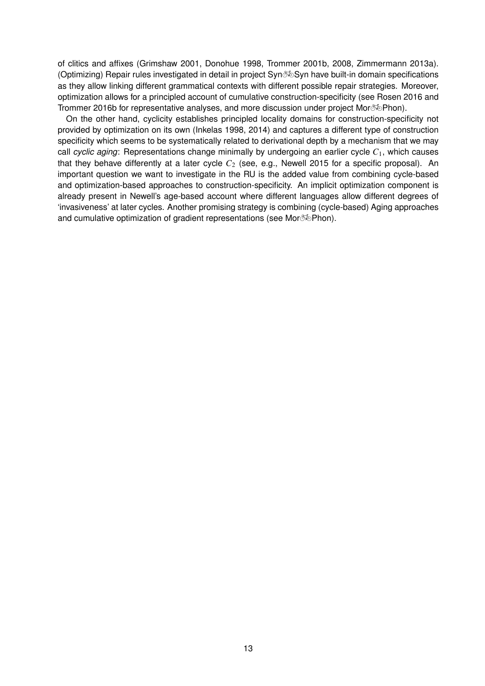of clitics and affixes [\(Grimshaw](#page-14-11) [2001,](#page-14-11) [Donohue](#page-14-30) [1998,](#page-14-30) [Trommer](#page-17-24) [2001b](#page-17-24), [2008](#page-17-13), [Zimmermann](#page-18-29) [2013a](#page-18-29)). (Optimizing) Repair rules investigated in detail in project Syn%Syn have built-in domain specifications as they allow linking different grammatical contexts with different possible repair strategies. Moreover, optimization allows for a principled account of cumulative construction-specificity (see [Rosen](#page-17-30) [2016](#page-17-30) and [Trommer](#page-18-21) [2016b](#page-18-21) for representative analyses, and more discussion under project Mor $\delta\Phi$ Phon).

On the other hand, cyclicity establishes principled locality domains for construction-specificity not provided by optimization on its own [\(Inkelas](#page-15-29) [1998](#page-15-29), [2014](#page-15-14)) and captures a different type of construction specificity which seems to be systematically related to derivational depth by a mechanism that we may call *cyclic aging*: Representations change minimally by undergoing an earlier cycle *C*1, which causes that they behave differently at a later cycle  $C_2$  (see, e.g., [Newell](#page-16-30) [2015](#page-16-30) for a specific proposal). An important question we want to investigate in the RU is the added value from combining cycle-based and optimization-based approaches to construction-specificity. An implicit optimization component is already present in Newell's age-based account where different languages allow different degrees of 'invasiveness' at later cycles. Another promising strategy is combining (cycle-based) Aging approaches and cumulative optimization of gradient representations (see Mor $\infty$ Phon).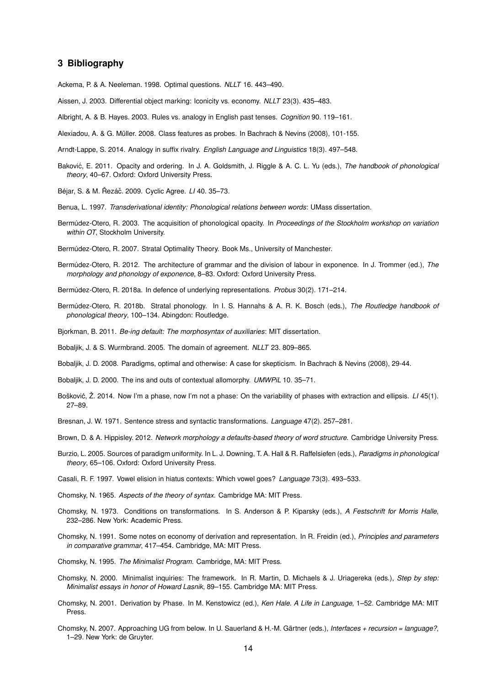#### **3 Bibliography**

<span id="page-13-17"></span>Ackema, P. & A. Neeleman. 1998. Optimal questions. *NLLT* 16. 443–490.

<span id="page-13-16"></span>Aissen, J. 2003. Differential object marking: Iconicity vs. economy. *NLLT* 23(3). 435–483.

<span id="page-13-12"></span>Albright, A. & B. Hayes. 2003. Rules vs. analogy in English past tenses. *Cognition* 90. 119–161.

<span id="page-13-24"></span>Alexiadou, A. & G. Müller. 2008. Class features as probes. In Bachrach & Nevins (2008), 101-155.

<span id="page-13-13"></span>Arndt-Lappe, S. 2014. Analogy in suffix rivalry. *English Language and Linguistics* 18(3). 497–548.

<span id="page-13-18"></span>Bakovic´, E. 2011. Opacity and ordering. In J. A. Goldsmith, J. Riggle & A. C. L. Yu (eds.), *The handbook of phonological theory*, 40–67. Oxford: Oxford University Press.

<span id="page-13-20"></span>Béjar, S. & M. Řezáč. 2009. Cyclic Agree. *LI* 40. 35–73.

<span id="page-13-5"></span>Benua, L. 1997. *Transderivational identity: Phonological relations between words*: UMass dissertation.

<span id="page-13-19"></span>Bermúdez-Otero, R. 2003. The acquisition of phonological opacity. In *Proceedings of the Stockholm workshop on variation within OT*, Stockholm University.

<span id="page-13-8"></span>Bermúdez-Otero, R. 2007. Stratal Optimality Theory. Book Ms., University of Manchester.

<span id="page-13-3"></span>Bermúdez-Otero, R. 2012. The architecture of grammar and the division of labour in exponence. In J. Trommer (ed.), *The morphology and phonology of exponence*, 8–83. Oxford: Oxford University Press.

<span id="page-13-4"></span>Bermúdez-Otero, R. 2018a. In defence of underlying representations. *Probus* 30(2). 171–214.

- <span id="page-13-25"></span>Bermúdez-Otero, R. 2018b. Stratal phonology. In I. S. Hannahs & A. R. K. Bosch (eds.), *The Routledge handbook of phonological theory*, 100–134. Abingdon: Routledge.
- <span id="page-13-15"></span>Bjorkman, B. 2011. *Be-ing default: The morphosyntax of auxiliaries*: MIT dissertation.
- <span id="page-13-21"></span>Bobaljik, J. & S. Wurmbrand. 2005. The domain of agreement. *NLLT* 23. 809–865.

<span id="page-13-7"></span>Bobaljik, J. D. 2008. Paradigms, optimal and otherwise: A case for skepticism. In Bachrach & Nevins (2008), 29-44.

- <span id="page-13-10"></span>Bobaljik, J. D. 2000. The ins and outs of contextual allomorphy. *UMWPiL* 10. 35–71.
- <span id="page-13-22"></span>Bošković, Ž. 2014. Now I'm a phase, now I'm not a phase: On the variability of phases with extraction and ellipsis. *LI* 45(1). 27–89.
- <span id="page-13-9"></span>Bresnan, J. W. 1971. Sentence stress and syntactic transformations. *Language* 47(2). 257–281.
- <span id="page-13-11"></span>Brown, D. & A. Hippisley. 2012. *Network morphology a defaults-based theory of word structure*. Cambridge University Press.
- <span id="page-13-6"></span>Burzio, L. 2005. Sources of paradigm uniformity. In L. J. Downing, T. A. Hall & R. Raffelsiefen (eds.), *Paradigms in phonological theory*, 65–106. Oxford: Oxford University Press.
- <span id="page-13-28"></span>Casali, R. F. 1997. Vowel elision in hiatus contexts: Which vowel goes? *Language* 73(3). 493–533.
- <span id="page-13-2"></span>Chomsky, N. 1965. *Aspects of the theory of syntax*. Cambridge MA: MIT Press.
- <span id="page-13-27"></span>Chomsky, N. 1973. Conditions on transformations. In S. Anderson & P. Kiparsky (eds.), *A Festschrift for Morris Halle*, 232–286. New York: Academic Press.
- <span id="page-13-14"></span>Chomsky, N. 1991. Some notes on economy of derivation and representation. In R. Freidin (ed.), *Principles and parameters in comparative grammar*, 417–454. Cambridge, MA: MIT Press.

<span id="page-13-26"></span>Chomsky, N. 1995. *The Minimalist Program*. Cambridge, MA: MIT Press.

- <span id="page-13-23"></span>Chomsky, N. 2000. Minimalist inquiries: The framework. In R. Martin, D. Michaels & J. Uriagereka (eds.), *Step by step: Minimalist essays in honor of Howard Lasnik*, 89–155. Cambridge MA: MIT Press.
- <span id="page-13-1"></span>Chomsky, N. 2001. Derivation by Phase. In M. Kenstowicz (ed.), *Ken Hale. A Life in Language*, 1–52. Cambridge MA: MIT Press.
- <span id="page-13-0"></span>Chomsky, N. 2007. Approaching UG from below. In U. Sauerland & H.-M. Gärtner (eds.), *Interfaces + recursion = language?*, 1–29. New York: de Gruyter.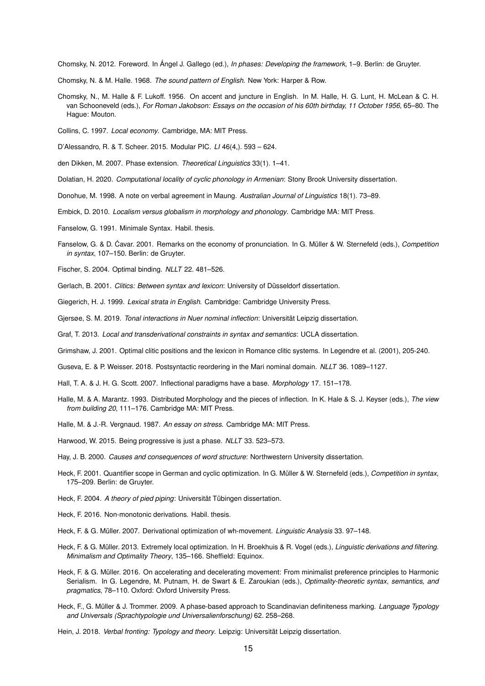<span id="page-14-2"></span>Chomsky, N. 2012. Foreword. In Ángel J. Gallego (ed.), *In phases: Developing the framework*, 1–9. Berlin: de Gruyter.

- <span id="page-14-1"></span>Chomsky, N. & M. Halle. 1968. *The sound pattern of English*. New York: Harper & Row.
- <span id="page-14-0"></span>Chomsky, N., M. Halle & F. Lukoff. 1956. On accent and juncture in English. In M. Halle, H. G. Lunt, H. McLean & C. H. van Schooneveld (eds.), *For Roman Jakobson: Essays on the occasion of his 60th birthday, 11 October 1956*, 65–80. The Hague: Mouton.
- <span id="page-14-28"></span>Collins, C. 1997. *Local economy*. Cambridge, MA: MIT Press.
- <span id="page-14-15"></span>D'Alessandro, R. & T. Scheer. 2015. Modular PIC. *LI* 46(4,). 593 – 624.
- <span id="page-14-13"></span>den Dikken, M. 2007. Phase extension. *Theoretical Linguistics* 33(1). 1–41.
- <span id="page-14-5"></span>Dolatian, H. 2020. *Computational locality of cyclic phonology in Armenian*: Stony Brook University dissertation.
- <span id="page-14-30"></span>Donohue, M. 1998. A note on verbal agreement in Maung. *Australian Journal of Linguistics* 18(1). 73–89.
- <span id="page-14-6"></span>Embick, D. 2010. *Localism versus globalism in morphology and phonology*. Cambridge MA: MIT Press.
- <span id="page-14-7"></span>Fanselow, G. 1991. Minimale Syntax. Habil. thesis.
- <span id="page-14-25"></span>Fanselow, G. & D. Cavar. 2001. Remarks on the economy of pronunciation. In G. Müller & W. Sternefeld (eds.), *Competition in syntax*, 107–150. Berlin: de Gruyter.
- <span id="page-14-26"></span>Fischer, S. 2004. Optimal binding. *NLLT* 22. 481–526.
- <span id="page-14-12"></span>Gerlach, B. 2001. *Clitics: Between syntax and lexicon*: University of Düsseldorf dissertation.
- <span id="page-14-29"></span>Giegerich, H. J. 1999. *Lexical strata in English*. Cambridge: Cambridge University Press.
- <span id="page-14-24"></span>Gjersøe, S. M. 2019. *Tonal interactions in Nuer nominal inflection*: Universität Leipzig dissertation.
- <span id="page-14-10"></span>Graf, T. 2013. *Local and transderivational constraints in syntax and semantics*: UCLA dissertation.
- <span id="page-14-11"></span>Grimshaw, J. 2001. Optimal clitic positions and the lexicon in Romance clitic systems. In Legendre et al. (2001), 205-240.
- <span id="page-14-22"></span>Guseva, E. & P. Weisser. 2018. Postsyntactic reordering in the Mari nominal domain. *NLLT* 36. 1089–1127.
- <span id="page-14-4"></span>Hall, T. A. & J. H. G. Scott. 2007. Inflectional paradigms have a base. *Morphology* 17. 151–178.
- <span id="page-14-8"></span>Halle, M. & A. Marantz. 1993. Distributed Morphology and the pieces of inflection. In K. Hale & S. J. Keyser (eds.), *The view from building 20*, 111–176. Cambridge MA: MIT Press.
- <span id="page-14-3"></span>Halle, M. & J.-R. Vergnaud. 1987. *An essay on stress*. Cambridge MA: MIT Press.
- <span id="page-14-14"></span>Harwood, W. 2015. Being progressive is just a phase. *NLLT* 33. 523–573.
- <span id="page-14-9"></span>Hay, J. B. 2000. *Causes and consequences of word structure*: Northwestern University dissertation.
- <span id="page-14-19"></span>Heck, F. 2001. Quantifier scope in German and cyclic optimization. In G. Müller & W. Sternefeld (eds.), *Competition in syntax*, 175–209. Berlin: de Gruyter.
- <span id="page-14-27"></span>Heck, F. 2004. *A theory of pied piping*: Universität Tübingen dissertation.
- <span id="page-14-20"></span>Heck, F. 2016. Non-monotonic derivations. Habil. thesis.
- <span id="page-14-16"></span>Heck, F. & G. Müller. 2007. Derivational optimization of wh-movement. *Linguistic Analysis* 33. 97–148.
- <span id="page-14-17"></span>Heck, F. & G. Müller. 2013. Extremely local optimization. In H. Broekhuis & R. Vogel (eds.), *Linguistic derivations and filtering. Minimalism and Optimality Theory*, 135–166. Sheffield: Equinox.
- <span id="page-14-18"></span>Heck, F. & G. Müller. 2016. On accelerating and decelerating movement: From minimalist preference principles to Harmonic Serialism. In G. Legendre, M. Putnam, H. de Swart & E. Zaroukian (eds.), *Optimality-theoretic syntax, semantics, and pragmatics*, 78–110. Oxford: Oxford University Press.
- <span id="page-14-21"></span>Heck, F., G. Müller & J. Trommer. 2009. A phase-based approach to Scandinavian definiteness marking. *Language Typology and Universals (Sprachtypologie und Universalienforschung)* 62. 258–268.
- <span id="page-14-23"></span>Hein, J. 2018. *Verbal fronting: Typology and theory*. Leipzig: Universität Leipzig dissertation.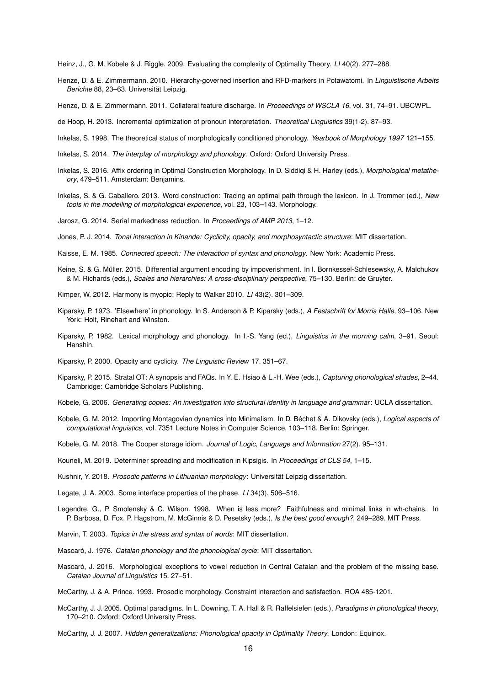<span id="page-15-18"></span>Heinz, J., G. M. Kobele & J. Riggle. 2009. Evaluating the complexity of Optimality Theory. *LI* 40(2). 277–288.

<span id="page-15-21"></span>Henze, D. & E. Zimmermann. 2010. Hierarchy-governed insertion and RFD-markers in Potawatomi. In *Linguistische Arbeits Berichte* 88, 23–63. Universität Leipzig.

<span id="page-15-22"></span>Henze, D. & E. Zimmermann. 2011. Collateral feature discharge. In *Proceedings of WSCLA 16*, vol. 31, 74–91. UBCWPL.

<span id="page-15-25"></span>de Hoop, H. 2013. Incremental optimization of pronoun interpretation. *Theoretical Linguistics* 39(1-2). 87–93.

- <span id="page-15-29"></span>Inkelas, S. 1998. The theoretical status of morphologically conditioned phonology. *Yearbook of Morphology 1997* 121–155.
- <span id="page-15-14"></span>Inkelas, S. 2014. *The interplay of morphology and phonology*. Oxford: Oxford University Press.
- <span id="page-15-17"></span>Inkelas, S. 2016. Affix ordering in Optimal Construction Morphology. In D. Siddiqi & H. Harley (eds.), *Morphological metatheory*, 479–511. Amsterdam: Benjamins.
- <span id="page-15-0"></span>Inkelas, S. & G. Caballero. 2013. Word construction: Tracing an optimal path through the lexicon. In J. Trommer (ed.), *New tools in the modelling of morphological exponence*, vol. 23, 103–143. Morphology.
- <span id="page-15-16"></span>Jarosz, G. 2014. Serial markedness reduction. In *Proceedings of AMP 2013*, 1–12.
- <span id="page-15-6"></span>Jones, P. J. 2014. *Tonal interaction in Kinande: Cyclicity, opacity, and morphosyntactic structure*: MIT dissertation.

<span id="page-15-5"></span>Kaisse, E. M. 1985. *Connected speech: The interaction of syntax and phonology*. New York: Academic Press.

- <span id="page-15-10"></span>Keine, S. & G. Müller. 2015. Differential argument encoding by impoverishment. In I. Bornkessel-Schlesewsky, A. Malchukov & M. Richards (eds.), *Scales and hierarchies: A cross-disciplinary perspective*, 75–130. Berlin: de Gruyter.
- <span id="page-15-26"></span>Kimper, W. 2012. Harmony is myopic: Reply to Walker 2010. *LI* 43(2). 301–309.
- <span id="page-15-9"></span>Kiparsky, P. 1973. 'Elsewhere' in phonology. In S. Anderson & P. Kiparsky (eds.), *A Festschrift for Morris Halle*, 93–106. New York: Holt, Rinehart and Winston.
- <span id="page-15-2"></span>Kiparsky, P. 1982. Lexical morphology and phonology. In I.-S. Yang (ed.), *Linguistics in the morning calm*, 3–91. Seoul: Hanshin.
- <span id="page-15-12"></span>Kiparsky, P. 2000. Opacity and cyclicity. *The Linguistic Review* 17. 351–67.
- <span id="page-15-1"></span>Kiparsky, P. 2015. Stratal OT: A synopsis and FAQs. In Y. E. Hsiao & L.-H. Wee (eds.), *Capturing phonological shades*, 2–44. Cambridge: Cambridge Scholars Publishing.
- <span id="page-15-3"></span>Kobele, G. 2006. *Generating copies: An investigation into structural identity in language and grammar*: UCLA dissertation.
- <span id="page-15-20"></span>Kobele, G. M. 2012. Importing Montagovian dynamics into Minimalism. In D. Béchet & A. Dikovsky (eds.), *Logical aspects of computational linguistics*, vol. 7351 Lecture Notes in Computer Science, 103–118. Berlin: Springer.
- <span id="page-15-19"></span>Kobele, G. M. 2018. The Cooper storage idiom. *Journal of Logic, Language and Information* 27(2). 95–131.
- <span id="page-15-23"></span>Kouneli, M. 2019. Determiner spreading and modification in Kipsigis. In *Proceedings of CLS 54*, 1–15.
- <span id="page-15-24"></span>Kushnir, Y. 2018. *Prosodic patterns in Lithuanian morphology*: Universität Leipzig dissertation.
- <span id="page-15-8"></span>Legate, J. A. 2003. Some interface properties of the phase. *LI* 34(3). 506–516.
- <span id="page-15-11"></span>Legendre, G., P. Smolensky & C. Wilson. 1998. When is less more? Faithfulness and minimal links in wh-chains. In P. Barbosa, D. Fox, P. Hagstrom, M. McGinnis & D. Pesetsky (eds.), *Is the best good enough?*, 249–289. MIT Press.
- <span id="page-15-27"></span>Marvin, T. 2003. *Topics in the stress and syntax of words*: MIT dissertation.
- <span id="page-15-28"></span>Mascaró, J. 1976. *Catalan phonology and the phonological cycle*: MIT dissertation.
- <span id="page-15-7"></span>Mascaró, J. 2016. Morphological exceptions to vowel reduction in Central Catalan and the problem of the missing base. *Catalan Journal of Linguistics* 15. 27–51.
- <span id="page-15-13"></span>McCarthy, J. & A. Prince. 1993. Prosodic morphology. Constraint interaction and satisfaction. ROA 485-1201.
- <span id="page-15-4"></span>McCarthy, J. J. 2005. Optimal paradigms. In L. Downing, T. A. Hall & R. Raffelsiefen (eds.), *Paradigms in phonological theory*, 170–210. Oxford: Oxford University Press.
- <span id="page-15-15"></span>McCarthy, J. J. 2007. *Hidden generalizations: Phonological opacity in Optimality Theory*. London: Equinox.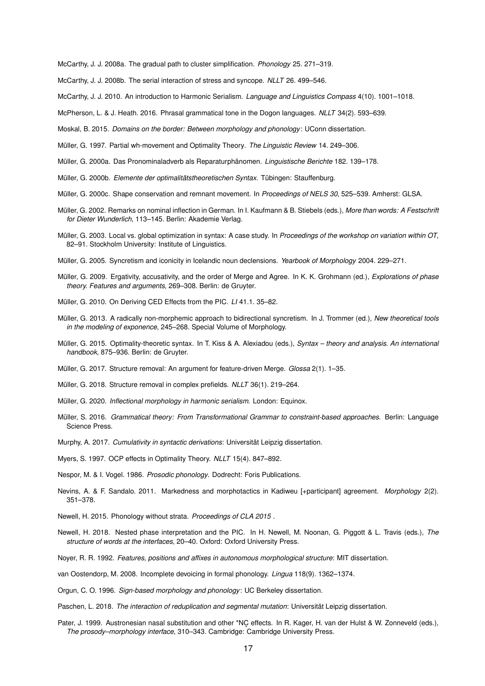<span id="page-16-15"></span>McCarthy, J. J. 2008a. The gradual path to cluster simplification. *Phonology* 25. 271–319.

<span id="page-16-16"></span>McCarthy, J. J. 2008b. The serial interaction of stress and syncope. *NLLT* 26. 499–546.

<span id="page-16-0"></span>McCarthy, J. J. 2010. An introduction to Harmonic Serialism. *Language and Linguistics Compass* 4(10). 1001–1018.

<span id="page-16-3"></span>McPherson, L. & J. Heath. 2016. Phrasal grammatical tone in the Dogon languages. *NLLT* 34(2). 593–639.

<span id="page-16-29"></span>Moskal, B. 2015. *Domains on the border: Between morphology and phonology*: UConn dissertation.

<span id="page-16-12"></span>Müller, G. 1997. Partial wh-movement and Optimality Theory. *The Linguistic Review* 14. 249–306.

<span id="page-16-17"></span>Müller, G. 2000a. Das Pronominaladverb als Reparaturphänomen. *Linguistische Berichte* 182. 139–178.

<span id="page-16-20"></span>Müller, G. 2000b. *Elemente der optimalitätstheoretischen Syntax*. Tübingen: Stauffenburg.

<span id="page-16-27"></span>Müller, G. 2000c. Shape conservation and remnant movement. In *Proceedings of NELS 30*, 525–539. Amherst: GLSA.

- <span id="page-16-24"></span>Müller, G. 2002. Remarks on nominal inflection in German. In I. Kaufmann & B. Stiebels (eds.), *More than words: A Festschrift for Dieter Wunderlich*, 113–145. Berlin: Akademie Verlag.
- <span id="page-16-18"></span>Müller, G. 2003. Local vs. global optimization in syntax: A case study. In *Proceedings of the workshop on variation within OT*, 82–91. Stockholm University: Institute of Linguistics.

<span id="page-16-6"></span>Müller, G. 2005. Syncretism and iconicity in Icelandic noun declensions. *Yearbook of Morphology* 2004. 229–271.

<span id="page-16-13"></span>Müller, G. 2009. Ergativity, accusativity, and the order of Merge and Agree. In K. K. Grohmann (ed.), *Explorations of phase theory. Features and arguments*, 269–308. Berlin: de Gruyter.

<span id="page-16-28"></span>Müller, G. 2010. On Deriving CED Effects from the PIC. *LI* 41.1. 35–82.

- <span id="page-16-25"></span>Müller, G. 2013. A radically non-morphemic approach to bidirectional syncretism. In J. Trommer (ed.), *New theoretical tools in the modeling of exponence*, 245–268. Special Volume of Morphology.
- <span id="page-16-19"></span>Müller, G. 2015. Optimality-theoretic syntax. In T. Kiss & A. Alexiadou (eds.), *Syntax – theory and analysis. An international handbook*, 875–936. Berlin: de Gruyter.
- <span id="page-16-22"></span>Müller, G. 2017. Structure removal: An argument for feature-driven Merge. *Glossa* 2(1). 1–35.
- <span id="page-16-23"></span>Müller, G. 2018. Structure removal in complex prefields. *NLLT* 36(1). 219–264.
- <span id="page-16-1"></span>Müller, G. 2020. *Inflectional morphology in harmonic serialism*. London: Equinox.
- <span id="page-16-5"></span>Müller, S. 2016. *Grammatical theory: From Transformational Grammar to constraint-based approaches*. Berlin: Language Science Press.

<span id="page-16-26"></span>Murphy, A. 2017. *Cumulativity in syntactic derivations*: Universität Leipzig dissertation.

<span id="page-16-9"></span>Myers, S. 1997. OCP effects in Optimality Theory. *NLLT* 15(4). 847–892.

<span id="page-16-2"></span>Nespor, M. & I. Vogel. 1986. *Prosodic phonology*. Dodrecht: Foris Publications.

- <span id="page-16-11"></span>Nevins, A. & F. Sandalo. 2011. Markedness and morphotactics in Kadiweu [+participant] agreement. *Morphology* 2(2). 351–378.
- <span id="page-16-30"></span>Newell, H. 2015. Phonology without strata. *Proceedings of CLA 2015* .
- <span id="page-16-14"></span>Newell, H. 2018. Nested phase interpretation and the PIC. In H. Newell, M. Noonan, G. Piggott & L. Travis (eds.), *The structure of words at the interfaces*, 20–40. Oxford: Oxford University Press.

<span id="page-16-7"></span>Noyer, R. R. 1992. *Features, positions and affixes in autonomous morphological structure*: MIT dissertation.

<span id="page-16-21"></span>van Oostendorp, M. 2008. Incomplete devoicing in formal phonology. *Lingua* 118(9). 1362–1374.

<span id="page-16-4"></span>Orgun, C. O. 1996. *Sign-based morphology and phonology*: UC Berkeley dissertation.

<span id="page-16-8"></span>Paschen, L. 2018. *The interaction of reduplication and segmental mutation*: Universität Leipzig dissertation.

<span id="page-16-10"></span>Pater, J. 1999. Austronesian nasal substitution and other \*NC effects. In R. Kager, H. van der Hulst & W. Zonneveld (eds.),<br>The prosody–morphology interface, 310–343. Cambridge: Cambridge University Press. *The prosody–morphology interface*, 310–343. Cambridge: Cambridge University Press.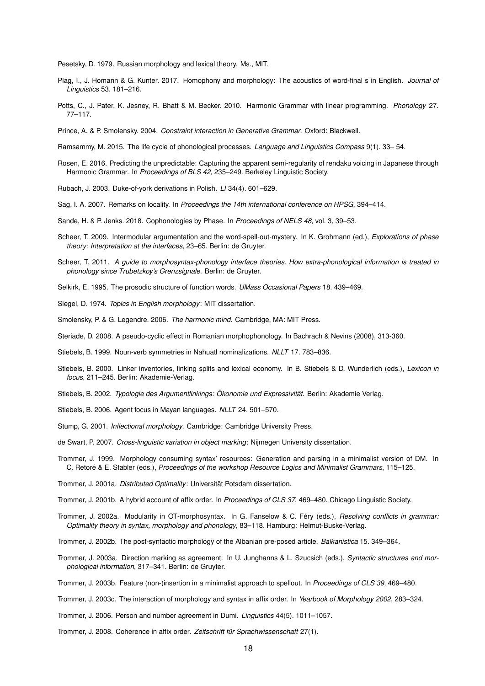<span id="page-17-29"></span>Pesetsky, D. 1979. Russian morphology and lexical theory. Ms., MIT.

- <span id="page-17-20"></span>Plag, I., J. Homann & G. Kunter. 2017. Homophony and morphology: The acoustics of word-final s in English. *Journal of Linguistics* 53. 181–216.
- <span id="page-17-11"></span>Potts, C., J. Pater, K. Jesney, R. Bhatt & M. Becker. 2010. Harmonic Grammar with linear programming. *Phonology* 27. 77–117.
- <span id="page-17-0"></span>Prince, A. & P. Smolensky. 2004. *Constraint interaction in Generative Grammar*. Oxford: Blackwell.

<span id="page-17-19"></span>Ramsammy, M. 2015. The life cycle of phonological processes. *Language and Linguistics Compass* 9(1). 33– 54.

- <span id="page-17-30"></span>Rosen, E. 2016. Predicting the unpredictable: Capturing the apparent semi-regularity of rendaku voicing in Japanese through Harmonic Grammar. In *Proceedings of BLS 42*, 235–249. Berkeley Linguistic Society.
- <span id="page-17-18"></span>Rubach, J. 2003. Duke-of-york derivations in Polish. *LI* 34(4). 601–629.
- <span id="page-17-9"></span>Sag, I. A. 2007. Remarks on locality. In *Proceedings the 14th international conference on HPSG*, 394–414.
- <span id="page-17-1"></span>Sande, H. & P. Jenks. 2018. Cophonologies by Phase. In *Proceedings of NELS 48*, vol. 3, 39–53.
- <span id="page-17-3"></span>Scheer, T. 2009. Intermodular argumentation and the word-spell-out-mystery. In K. Grohmann (ed.), *Explorations of phase theory: Interpretation at the interfaces*, 23–65. Berlin: de Gruyter.
- <span id="page-17-6"></span>Scheer, T. 2011. *A guide to morphosyntax-phonology interface theories. How extra-phonological information is treated in phonology since Trubetzkoy's Grenzsignale*. Berlin: de Gruyter.
- <span id="page-17-5"></span>Selkirk, E. 1995. The prosodic structure of function words. *UMass Occasional Papers* 18. 439–469.
- <span id="page-17-2"></span>Siegel, D. 1974. *Topics in English morphology*: MIT dissertation.
- <span id="page-17-10"></span>Smolensky, P. & G. Legendre. 2006. *The harmonic mind*. Cambridge, MA: MIT Press.
- <span id="page-17-4"></span>Steriade, D. 2008. A pseudo-cyclic effect in Romanian morphophonology. In Bachrach & Nevins (2008), 313-360.
- <span id="page-17-21"></span>Stiebels, B. 1999. Noun-verb symmetries in Nahuatl nominalizations. *NLLT* 17. 783–836.
- <span id="page-17-15"></span>Stiebels, B. 2000. Linker inventories, linking splits and lexical economy. In B. Stiebels & D. Wunderlich (eds.), *Lexicon in focus*, 211–245. Berlin: Akademie-Verlag.
- <span id="page-17-16"></span>Stiebels, B. 2002. *Typologie des Argumentlinkings: Ökonomie und Expressivität*. Berlin: Akademie Verlag.
- <span id="page-17-22"></span>Stiebels, B. 2006. Agent focus in Mayan languages. *NLLT* 24. 501–570.
- <span id="page-17-8"></span>Stump, G. 2001. *Inflectional morphology*. Cambridge: Cambridge University Press.
- <span id="page-17-17"></span>de Swart, P. 2007. *Cross-linguistic variation in object marking*: Nijmegen University dissertation.
- <span id="page-17-7"></span>Trommer, J. 1999. Morphology consuming syntax' resources: Generation and parsing in a minimalist version of DM. In C. Retoré & E. Stabler (eds.), *Proceedings of the workshop Resource Logics and Minimalist Grammars*, 115–125.
- <span id="page-17-23"></span>Trommer, J. 2001a. *Distributed Optimality*: Universität Potsdam dissertation.
- <span id="page-17-24"></span>Trommer, J. 2001b. A hybrid account of affix order. In *Proceedings of CLS 37*, 469–480. Chicago Linguistic Society.
- <span id="page-17-25"></span>Trommer, J. 2002a. Modularity in OT-morphosyntax. In G. Fanselow & C. Féry (eds.), *Resolving conflicts in grammar: Optimality theory in syntax, morphology and phonology*, 83–118. Hamburg: Helmut-Buske-Verlag.
- <span id="page-17-28"></span>Trommer, J. 2002b. The post-syntactic morphology of the Albanian pre-posed article. *Balkanistica* 15. 349–364.
- <span id="page-17-26"></span>Trommer, J. 2003a. Direction marking as agreement. In U. Junghanns & L. Szucsich (eds.), *Syntactic structures and morphological information*, 317–341. Berlin: de Gruyter.
- <span id="page-17-27"></span>Trommer, J. 2003b. Feature (non-)insertion in a minimalist approach to spellout. In *Proceedings of CLS 39*, 469–480.
- <span id="page-17-14"></span>Trommer, J. 2003c. The interaction of morphology and syntax in affix order. In *Yearbook of Morphology 2002*, 283–324.
- <span id="page-17-12"></span>Trommer, J. 2006. Person and number agreement in Dumi. *Linguistics* 44(5). 1011–1057.
- <span id="page-17-13"></span>Trommer, J. 2008. Coherence in affix order. *Zeitschrift für Sprachwissenschaft* 27(1).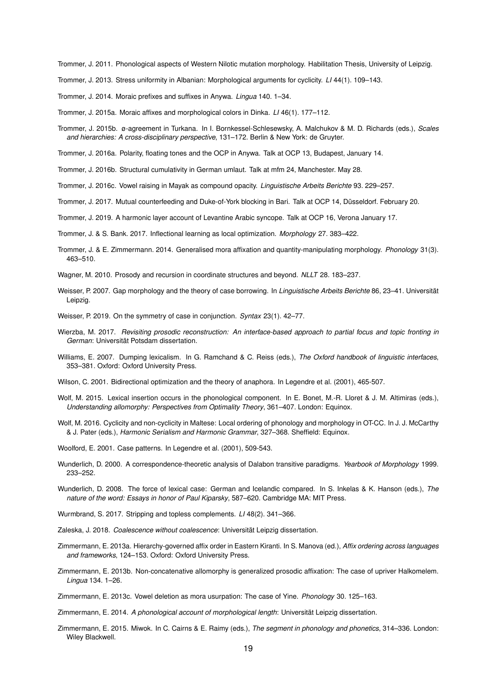<span id="page-18-0"></span>Trommer, J. 2011. Phonological aspects of Western Nilotic mutation morphology. Habilitation Thesis, University of Leipzig.

- <span id="page-18-3"></span>Trommer, J. 2013. Stress uniformity in Albanian: Morphological arguments for cyclicity. *LI* 44(1). 109–143.
- <span id="page-18-15"></span>Trommer, J. 2014. Moraic prefixes and suffixes in Anywa. *Lingua* 140. 1–34.
- <span id="page-18-16"></span>Trommer, J. 2015a. Moraic affixes and morphological colors in Dinka. *LI* 46(1). 177–112.
- <span id="page-18-11"></span>Trommer, J. 2015b. ø-agreement in Turkana. In I. Bornkessel-Schlesewsky, A. Malchukov & M. D. Richards (eds.), *Scales and hierarchies: A cross-disciplinary perspective*, 131–172. Berlin & New York: de Gruyter.
- <span id="page-18-18"></span>Trommer, J. 2016a. Polarity, floating tones and the OCP in Anywa. Talk at OCP 13, Budapest, January 14.

<span id="page-18-21"></span>Trommer, J. 2016b. Structural cumulativity in German umlaut. Talk at mfm 24, Manchester. May 28.

- <span id="page-18-17"></span>Trommer, J. 2016c. Vowel raising in Mayak as compound opacity. *Linguistische Arbeits Berichte* 93. 229–257.
- <span id="page-18-19"></span>Trommer, J. 2017. Mutual counterfeeding and Duke-of-York blocking in Bari. Talk at OCP 14, Düsseldorf. February 20.
- <span id="page-18-22"></span>Trommer, J. 2019. A harmonic layer account of Levantine Arabic syncope. Talk at OCP 16, Verona January 17.

<span id="page-18-20"></span>Trommer, J. & S. Bank. 2017. Inflectional learning as local optimization. *Morphology* 27. 383–422.

- <span id="page-18-26"></span>Trommer, J. & E. Zimmermann. 2014. Generalised mora affixation and quantity-manipulating morphology. *Phonology* 31(3). 463–510.
- <span id="page-18-1"></span>Wagner, M. 2010. Prosody and recursion in coordinate structures and beyond. *NLLT* 28. 183–237.
- <span id="page-18-12"></span>Weisser, P. 2007. Gap morphology and the theory of case borrowing. In *Linguistische Arbeits Berichte* 86, 23–41. Universität Leipzig.
- <span id="page-18-23"></span>Weisser, P. 2019. On the symmetry of case in conjunction. *Syntax* 23(1). 42–77.
- <span id="page-18-2"></span>Wierzba, M. 2017. *Revisiting prosodic reconstruction: An interface-based approach to partial focus and topic fronting in German*: Universität Potsdam dissertation.
- <span id="page-18-4"></span>Williams, E. 2007. Dumping lexicalism. In G. Ramchand & C. Reiss (eds.), *The Oxford handbook of linguistic interfaces*, 353–381. Oxford: Oxford University Press.
- <span id="page-18-10"></span>Wilson, C. 2001. Bidirectional optimization and the theory of anaphora. In Legendre et al. (2001), 465-507.
- <span id="page-18-9"></span>Wolf, M. 2015. Lexical insertion occurs in the phonological component. In E. Bonet, M.-R. Lloret & J. M. Altimiras (eds.), *Understanding allomorphy: Perspectives from Optimality Theory*, 361–407. London: Equinox.
- <span id="page-18-8"></span>Wolf, M. 2016. Cyclicity and non-cyclicity in Maltese: Local ordering of phonology and morphology in OT-CC. In J. J. McCarthy & J. Pater (eds.), *Harmonic Serialism and Harmonic Grammar*, 327–368. Sheffield: Equinox.
- <span id="page-18-7"></span>Woolford, E. 2001. Case patterns. In Legendre et al. (2001), 509-543.
- <span id="page-18-5"></span>Wunderlich, D. 2000. A correspondence-theoretic analysis of Dalabon transitive paradigms. *Yearbook of Morphology* 1999. 233–252.
- <span id="page-18-6"></span>Wunderlich, D. 2008. The force of lexical case: German and Icelandic compared. In S. Inkelas & K. Hanson (eds.), *The nature of the word: Essays in honor of Paul Kiparsky*, 587–620. Cambridge MA: MIT Press.
- <span id="page-18-28"></span>Wurmbrand, S. 2017. Stripping and topless complements. *LI* 48(2). 341–366.
- <span id="page-18-27"></span>Zaleska, J. 2018. *Coalescence without coalescence*: Universität Leipzig dissertation.
- <span id="page-18-29"></span>Zimmermann, E. 2013a. Hierarchy-governed affix order in Eastern Kiranti. In S. Manova (ed.), *Affix ordering across languages and frameworks*, 124–153. Oxford: Oxford University Press.
- <span id="page-18-24"></span>Zimmermann, E. 2013b. Non-concatenative allomorphy is generalized prosodic affixation: The case of upriver Halkomelem. *Lingua* 134. 1–26.
- <span id="page-18-13"></span>Zimmermann, E. 2013c. Vowel deletion as mora usurpation: The case of Yine. *Phonology* 30. 125–163.
- <span id="page-18-14"></span>Zimmermann, E. 2014. *A phonological account of morphological length*: Universität Leipzig dissertation.
- <span id="page-18-25"></span>Zimmermann, E. 2015. Miwok. In C. Cairns & E. Raimy (eds.), *The segment in phonology and phonetics*, 314–336. London: Wiley Blackwell.